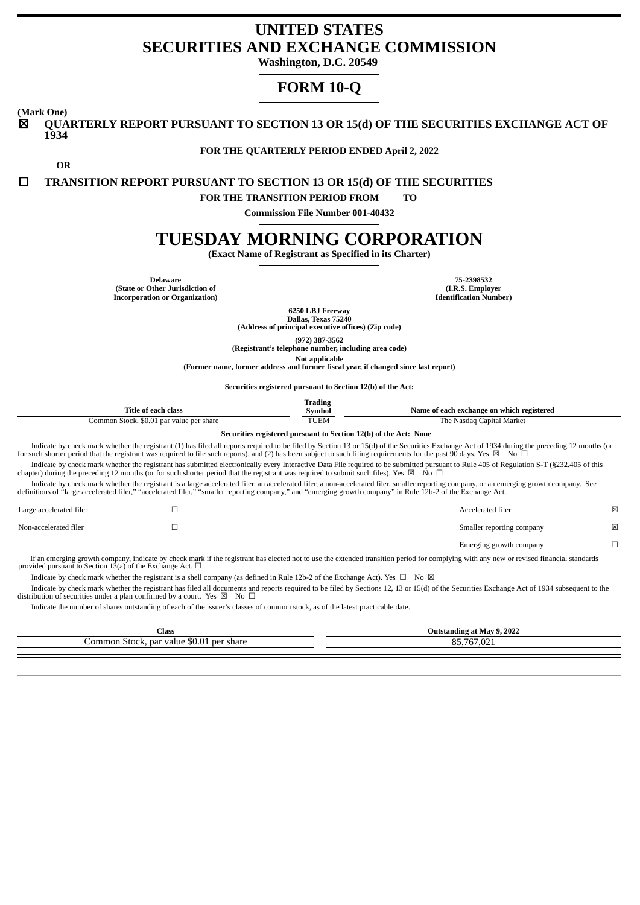# **UNITED STATES SECURITIES AND EXCHANGE COMMISSION**

**Washington, D.C. 20549**

# **FORM 10-Q**

**(Mark One)**

☒ **QUARTERLY REPORT PURSUANT TO SECTION 13 OR 15(d) OF THE SECURITIES EXCHANGE ACT OF 1934**

# **FOR THE QUARTERLY PERIOD ENDED April 2, 2022**

**OR**

# ☐ **TRANSITION REPORT PURSUANT TO SECTION 13 OR 15(d) OF THE SECURITIES**

**FOR THE TRANSITION PERIOD FROM TO**

**Commission File Number 001-40432**

# **TUESDAY MORNING CORPORATION**

**(Exact Name of Registrant as Specified in its Charter)**

**(State or Other Jurisdiction of (I.R.S. Employer**  $Incorporation$  **or Organization**)

**Delaware 75-2398532**

**6250 LBJ Freeway Dallas, Texas 75240**

**(Address of principal executive offices) (Zip code)**

**(972) 387-3562 (Registrant's telephone number, including area code)**

**Not applicable**

**(Former name, former address and former fiscal year, if changed since last report)**

**Securities registered pursuant to Section 12(b) of the Act:**

| Title of each class                                                                                                                                                                                                                                                                                                                                                                   | Name of each exchange on which registered |                                                                  |  |  |  |  |  |
|---------------------------------------------------------------------------------------------------------------------------------------------------------------------------------------------------------------------------------------------------------------------------------------------------------------------------------------------------------------------------------------|-------------------------------------------|------------------------------------------------------------------|--|--|--|--|--|
| Common Stock, \$0.01 par value per share                                                                                                                                                                                                                                                                                                                                              | TUEM                                      | The Nasdaq Capital Market                                        |  |  |  |  |  |
|                                                                                                                                                                                                                                                                                                                                                                                       |                                           | Securities registered pursuant to Section 12(b) of the Act: None |  |  |  |  |  |
| Indicate by check mark whether the registrant (1) has filed all reports required to be filed by Section 13 or 15(d) of the Securities Exchange Act of 1934 during the preceding 12 months (or<br>for such shorter period that the registrant was required to file such reports), and (2) has been subject to such filing requirements for the past 90 days. Yes $\boxtimes$ No $\Box$ |                                           |                                                                  |  |  |  |  |  |
| Indicate by check mark whether the registrant has submitted electronically every Interactive Data File required to be submitted pursuant to Rule 405 of Regulation S-T (§232.405 of this<br>chapter) during the preceding 12 months (or for such shorter period that the registrant was required to submit such files). Yes $\boxtimes$ No $\Box$                                     |                                           |                                                                  |  |  |  |  |  |
| Indicate by check mark whether the registrant is a large accelerated filer, an accelerated filer, a non-accelerated filer, smaller reporting company, or an emerging growth company. See<br>definitions of "large accelerated filer," "accelerated filer," "smaller reporting company," and "emerging growth company" in Rule 12b-2 of the Exchange Act.                              |                                           |                                                                  |  |  |  |  |  |
| Large accelerated filer                                                                                                                                                                                                                                                                                                                                                               |                                           | X<br>Accelerated filer                                           |  |  |  |  |  |
| Non-accelerated filer                                                                                                                                                                                                                                                                                                                                                                 |                                           | X<br>Smaller reporting company                                   |  |  |  |  |  |
|                                                                                                                                                                                                                                                                                                                                                                                       |                                           | Emerging growth company                                          |  |  |  |  |  |
| If an emerging growth company, indicate by check mark if the registrant has elected not to use the extended transition period for complying with any new or revised financial standards<br>provided pursuant to Section 13(a) of the Exchange Act. $\Box$                                                                                                                             |                                           |                                                                  |  |  |  |  |  |

Indicate by check mark whether the registrant is a shell company (as defined in Rule 12b-2 of the Exchange Act). Yes  $\Box$  No  $\boxtimes$ 

Indicate by check mark whether the registrant has filed all documents and reports required to be filed by Sections 12, 13 or 15(d) of the Securities Exchange Act of 1934 subsequent to the distribution of securities under

Indicate the number of shares outstanding of each of the issuer's classes of common stock, as of the latest practicable date.

| Class                                                                            | 9.2022<br>Outstanding at Mav' |
|----------------------------------------------------------------------------------|-------------------------------|
| $\sim$<br>par value<br>share<br>$\ldots$ mmon $\cdot$<br>Stock.<br>per<br>.00.01 | $\sim$<br>ΩE<br>$\sim$        |
|                                                                                  |                               |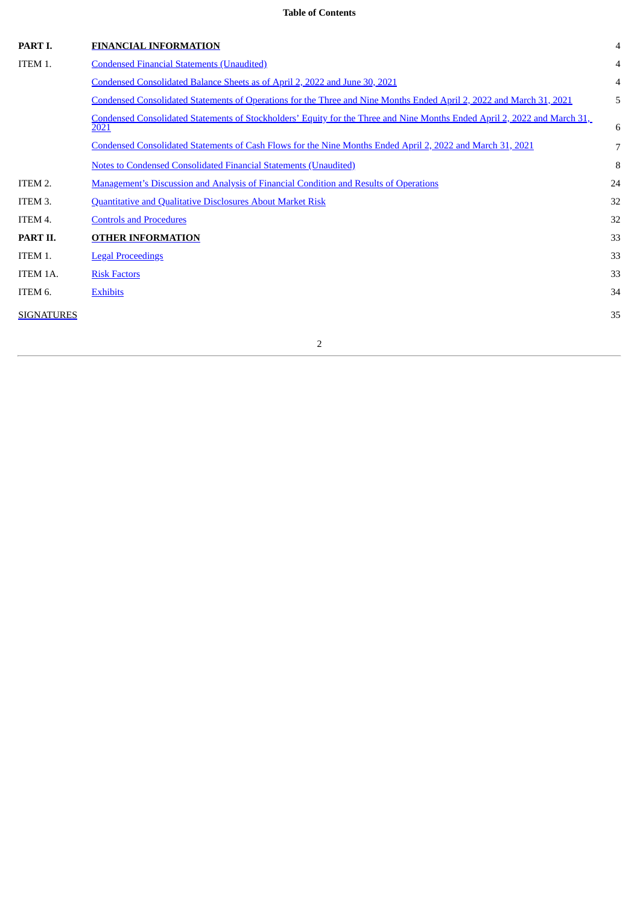# **Table of Contents**

| PART I.           |                                                                                                                                   | 4  |
|-------------------|-----------------------------------------------------------------------------------------------------------------------------------|----|
|                   | <b>FINANCIAL INFORMATION</b>                                                                                                      |    |
| ITEM 1.           | <b>Condensed Financial Statements (Unaudited)</b>                                                                                 | 4  |
|                   | Condensed Consolidated Balance Sheets as of April 2, 2022 and June 30, 2021                                                       | 4  |
|                   | Condensed Consolidated Statements of Operations for the Three and Nine Months Ended April 2, 2022 and March 31, 2021              | 5  |
|                   | Condensed Consolidated Statements of Stockholders' Equity for the Three and Nine Months Ended April 2, 2022 and March 31,<br>2021 | 6  |
|                   | Condensed Consolidated Statements of Cash Flows for the Nine Months Ended April 2, 2022 and March 31, 2021                        | 7  |
|                   | <b>Notes to Condensed Consolidated Financial Statements (Unaudited)</b>                                                           | 8  |
| ITEM 2.           | <b>Management's Discussion and Analysis of Financial Condition and Results of Operations</b>                                      | 24 |
| ITEM 3.           | <b>Quantitative and Qualitative Disclosures About Market Risk</b>                                                                 | 32 |
| ITEM 4.           | <b>Controls and Procedures</b>                                                                                                    | 32 |
| PART II.          | <b>OTHER INFORMATION</b>                                                                                                          | 33 |
| ITEM 1.           | <b>Legal Proceedings</b>                                                                                                          | 33 |
| ITEM 1A.          | <b>Risk Factors</b>                                                                                                               | 33 |
| ITEM 6.           | <b>Exhibits</b>                                                                                                                   | 34 |
| <b>SIGNATURES</b> |                                                                                                                                   | 35 |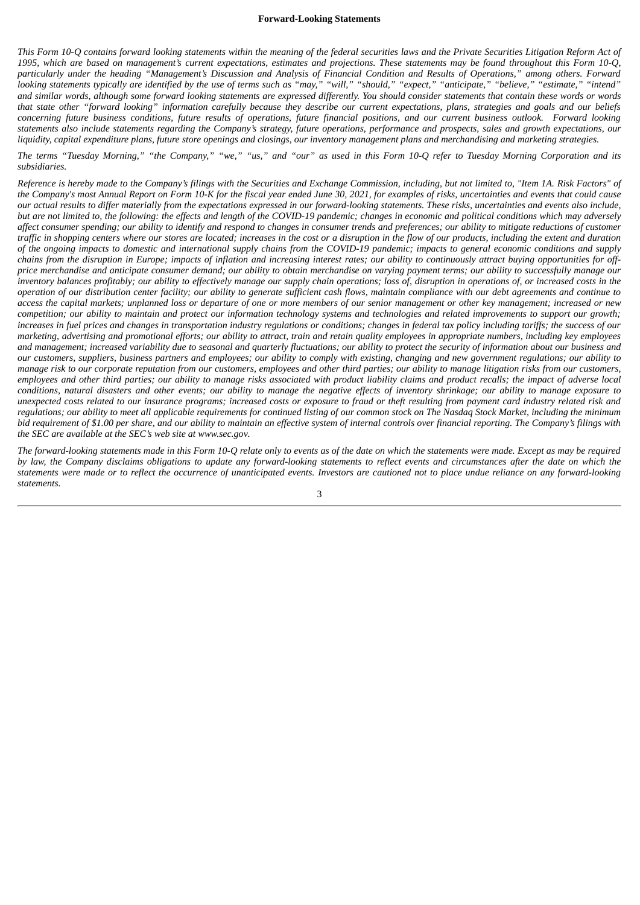#### **Forward-Looking Statements**

This Form 10-Q contains forward looking statements within the meaning of the federal securities laws and the Private Securities Litigation Reform Act of 1995, which are based on management's current expectations, estimates and projections. These statements may be found throughout this Form 10-Q, particularly under the heading "Management's Discussion and Analysis of Financial Condition and Results of Operations," among others. Forward looking statements typically are identified by the use of terms such as "may," "will," "should," "expect," "anticipate," "believe," "estimate," "intend" and similar words, although some forward looking statements are expressed differently. You should consider statements that contain these words or words that state other "forward looking" information carefully because they describe our current expectations, plans, strategies and goals and our beliefs concerning future business conditions, future results of operations, future financial positions, and our current business outlook. Forward looking statements also include statements regarding the Company's strategy, future operations, performance and prospects, sales and growth expectations, our liquidity, capital expenditure plans, future store openings and closings, our inventory management plans and merchandising and marketing strategies.

The terms "Tuesday Morning," "the Company," "we," "us," and "our" as used in this Form 10-Q refer to Tuesday Morning Corporation and its *subsidiaries.*

Reference is hereby made to the Company's filings with the Securities and Exchange Commission, including, but not limited to, "Item 1A. Risk Factors" of the Company's most Annual Report on Form 10-K for the fiscal year ended June 30, 2021, for examples of risks, uncertainties and events that could cause our actual results to differ materially from the expectations expressed in our forward-looking statements. These risks, uncertainties and events also include, but are not limited to, the following: the effects and length of the COVID-19 pandemic; changes in economic and political conditions which may adversely affect consumer spending; our ability to identify and respond to changes in consumer trends and preferences; our ability to mitigate reductions of customer traffic in shopping centers where our stores are located; increases in the cost or a disruption in the flow of our products, including the extent and duration of the ongoing impacts to domestic and international supply chains from the COVID-19 pandemic; impacts to general economic conditions and supply chains from the disruption in Europe: impacts of inflation and increasing interest rates; our ability to continuously attract buying opportunities for offprice merchandise and anticipate consumer demand; our ability to obtain merchandise on varying payment terms; our ability to successfully manage our inventory balances profitably; our ability to effectively manage our supply chain operations; loss of, disruption in operations of, or increased costs in the operation of our distribution center facility; our ability to generate sufficient cash flows, maintain compliance with our debt agreements and continue to access the capital markets; unplanned loss or departure of one or more members of our senior management or other key management; increased or new competition; our ability to maintain and protect our information technology systems and technologies and related improvements to support our growth; increases in fuel prices and changes in transportation industry regulations or conditions; changes in federal tax policy including tariffs; the success of our marketing, advertising and promotional efforts; our ability to attract, train and retain quality employees in appropriate numbers, including key employees and management; increased variability due to seasonal and quarterly fluctuations; our ability to protect the security of information about our business and our customers, suppliers, business partners and employees; our ability to comply with existing, changing and new government regulations; our ability to manage risk to our corporate reputation from our customers, employees and other third parties; our ability to manage litigation risks from our customers, employees and other third parties; our ability to manage risks associated with product liability claims and product recalls; the impact of adverse local conditions, natural disasters and other events; our ability to manage the negative effects of inventory shrinkage; our ability to manage exposure to unexpected costs related to our insurance programs; increased costs or exposure to fraud or theft resulting from payment card industry related risk and requlations; our ability to meet all applicable requirements for continued listing of our common stock on The Nasdaq Stock Market, including the minimum bid requirement of \$1.00 per share, and our ability to maintain an effective system of internal controls over financial reporting. The Company's filings with *the SEC are available at the SEC's web site at www.sec.gov.*

The forward-looking statements made in this Form 10-Q relate only to events as of the date on which the statements were made. Except as may be required by law, the Company disclaims obligations to update any forward-looking statements to reflect events and circumstances after the date on which the statements were made or to reflect the occurrence of unanticipated events. Investors are cautioned not to place undue reliance on any forward-looking *statements.*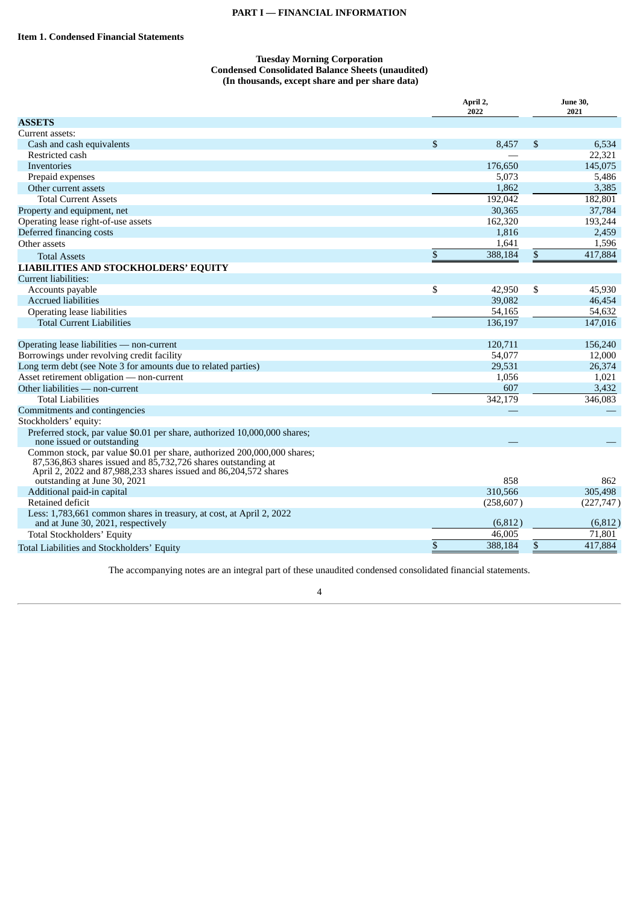# **PART I — FINANCIAL INFORMATION**

#### **Tuesday Morning Corporation Condensed Consolidated Balance Sheets (unaudited) (In thousands, except share and per share data)**

<span id="page-3-2"></span><span id="page-3-1"></span><span id="page-3-0"></span>

|                                                                                                                                                                                                               | April 2,<br>2022 | <b>June 30,</b><br>2021 |
|---------------------------------------------------------------------------------------------------------------------------------------------------------------------------------------------------------------|------------------|-------------------------|
| <b>ASSETS</b>                                                                                                                                                                                                 |                  |                         |
| Current assets:                                                                                                                                                                                               |                  |                         |
| Cash and cash equivalents                                                                                                                                                                                     | \$<br>8,457      | \$<br>6,534             |
| Restricted cash                                                                                                                                                                                               |                  | 22,321                  |
| Inventories                                                                                                                                                                                                   | 176,650          | 145,075                 |
| Prepaid expenses                                                                                                                                                                                              | 5,073            | 5,486                   |
| Other current assets                                                                                                                                                                                          | 1,862            | 3,385                   |
| <b>Total Current Assets</b>                                                                                                                                                                                   | 192,042          | 182,801                 |
| Property and equipment, net                                                                                                                                                                                   | 30,365           | 37,784                  |
| Operating lease right-of-use assets                                                                                                                                                                           | 162,320          | 193,244                 |
| Deferred financing costs                                                                                                                                                                                      | 1,816            | 2,459                   |
| Other assets                                                                                                                                                                                                  | 1,641            | 1,596                   |
| <b>Total Assets</b>                                                                                                                                                                                           | \$<br>388,184    | \$<br>417,884           |
| <b>LIABILITIES AND STOCKHOLDERS' EQUITY</b>                                                                                                                                                                   |                  |                         |
| <b>Current liabilities:</b>                                                                                                                                                                                   |                  |                         |
| Accounts payable                                                                                                                                                                                              | \$<br>42,950     | \$<br>45.930            |
| <b>Accrued liabilities</b>                                                                                                                                                                                    | 39,082           | 46,454                  |
| Operating lease liabilities                                                                                                                                                                                   | 54,165           | 54,632                  |
| <b>Total Current Liabilities</b>                                                                                                                                                                              | 136,197          | 147,016                 |
|                                                                                                                                                                                                               |                  |                         |
| Operating lease liabilities - non-current                                                                                                                                                                     | 120,711          | 156,240                 |
| Borrowings under revolving credit facility                                                                                                                                                                    | 54,077           | 12,000                  |
| Long term debt (see Note 3 for amounts due to related parties)                                                                                                                                                | 29,531           | 26,374                  |
| Asset retirement obligation - non-current                                                                                                                                                                     | 1,056            | 1,021                   |
| Other liabilities - non-current                                                                                                                                                                               | 607              | 3,432                   |
| <b>Total Liabilities</b>                                                                                                                                                                                      | 342,179          | 346,083                 |
| Commitments and contingencies                                                                                                                                                                                 |                  |                         |
| Stockholders' equity:                                                                                                                                                                                         |                  |                         |
| Preferred stock, par value \$0.01 per share, authorized 10,000,000 shares;                                                                                                                                    |                  |                         |
| none issued or outstanding                                                                                                                                                                                    |                  |                         |
| Common stock, par value \$0.01 per share, authorized 200,000,000 shares;<br>87,536,863 shares issued and 85,732,726 shares outstanding at<br>April 2, 2022 and 87,988,233 shares issued and 86,204,572 shares |                  |                         |
| outstanding at June 30, 2021                                                                                                                                                                                  | 858              | 862                     |
| Additional paid-in capital                                                                                                                                                                                    | 310,566          | 305,498                 |
| Retained deficit                                                                                                                                                                                              | (258, 607)       | (227, 747)              |
| Less: 1,783,661 common shares in treasury, at cost, at April 2, 2022<br>and at June 30, 2021, respectively                                                                                                    | (6,812)          | (6,812)                 |
| Total Stockholders' Equity                                                                                                                                                                                    | 46,005           | 71,801                  |
| Total Liabilities and Stockholders' Equity                                                                                                                                                                    | \$<br>388,184    | \$<br>417,884           |

The accompanying notes are an integral part of these unaudited condensed consolidated financial statements.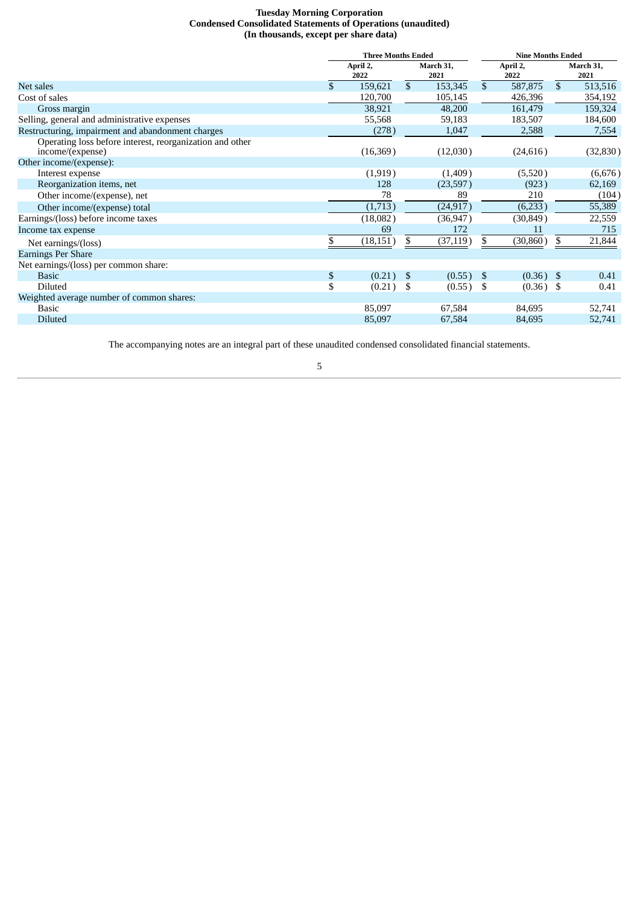## **Tuesday Morning Corporation Condensed Consolidated Statements of Operations (unaudited) (In thousands, except per share data)**

<span id="page-4-0"></span>

|                                                                              |              | <b>Three Months Ended</b> |              |                   | <b>Nine Months Ended</b> |                  |              |                   |  |
|------------------------------------------------------------------------------|--------------|---------------------------|--------------|-------------------|--------------------------|------------------|--------------|-------------------|--|
|                                                                              |              | April 2,<br>2022          |              | March 31,<br>2021 |                          | April 2,<br>2022 |              | March 31,<br>2021 |  |
| Net sales                                                                    | $\mathbf{s}$ | 159,621                   | $\mathbf{s}$ | 153,345           | $\mathbb{S}$             | 587,875          | $\mathbb{S}$ | 513,516           |  |
| Cost of sales                                                                |              | 120,700                   |              | 105,145           |                          | 426,396          |              | 354,192           |  |
| Gross margin                                                                 |              | 38,921                    |              | 48,200            |                          | 161,479          |              | 159,324           |  |
| Selling, general and administrative expenses                                 |              | 55,568                    |              | 59,183            |                          | 183,507          |              | 184,600           |  |
| Restructuring, impairment and abandonment charges                            |              | (278)                     |              | 1,047             |                          | 2,588            |              | 7,554             |  |
| Operating loss before interest, reorganization and other<br>income/(expense) |              | (16,369)                  |              | (12,030)          |                          | (24, 616)        |              | (32, 830)         |  |
| Other income/(expense):                                                      |              |                           |              |                   |                          |                  |              |                   |  |
| Interest expense                                                             |              | (1,919)                   |              | (1,409)           |                          | (5,520)          |              | (6,676)           |  |
| Reorganization items, net                                                    |              | 128                       |              | (23,597)          |                          | (923)            |              | 62,169            |  |
| Other income/(expense), net                                                  |              | 78                        |              | 89                |                          | 210              |              | (104)             |  |
| Other income/(expense) total                                                 |              | (1,713)                   |              | (24, 917)         |                          | (6,233)          |              | 55,389            |  |
| Earnings/(loss) before income taxes                                          |              | (18,082)                  |              | (36, 947)         |                          | (30, 849)        |              | 22,559            |  |
| Income tax expense                                                           |              | 69                        |              | 172               |                          | 11               |              | 715               |  |
| Net earnings/(loss)                                                          |              | (18, 151)                 | S            | (37, 119)         | S                        | (30, 860)        | \$.          | 21,844            |  |
| <b>Earnings Per Share</b>                                                    |              |                           |              |                   |                          |                  |              |                   |  |
| Net earnings/(loss) per common share:                                        |              |                           |              |                   |                          |                  |              |                   |  |
| <b>Basic</b>                                                                 | \$           | (0.21)                    | \$           | $(0.55)$ \$       |                          | $(0.36)$ \$      |              | 0.41              |  |
| <b>Diluted</b>                                                               | \$           | (0.21)                    | \$           | (0.55)            | <b>S</b>                 | $(0.36)$ \$      |              | 0.41              |  |
| Weighted average number of common shares:                                    |              |                           |              |                   |                          |                  |              |                   |  |
| <b>Basic</b>                                                                 |              | 85,097                    |              | 67,584            |                          | 84,695           |              | 52,741            |  |
| <b>Diluted</b>                                                               |              | 85,097                    |              | 67,584            |                          | 84,695           |              | 52,741            |  |

The accompanying notes are an integral part of these unaudited condensed consolidated financial statements.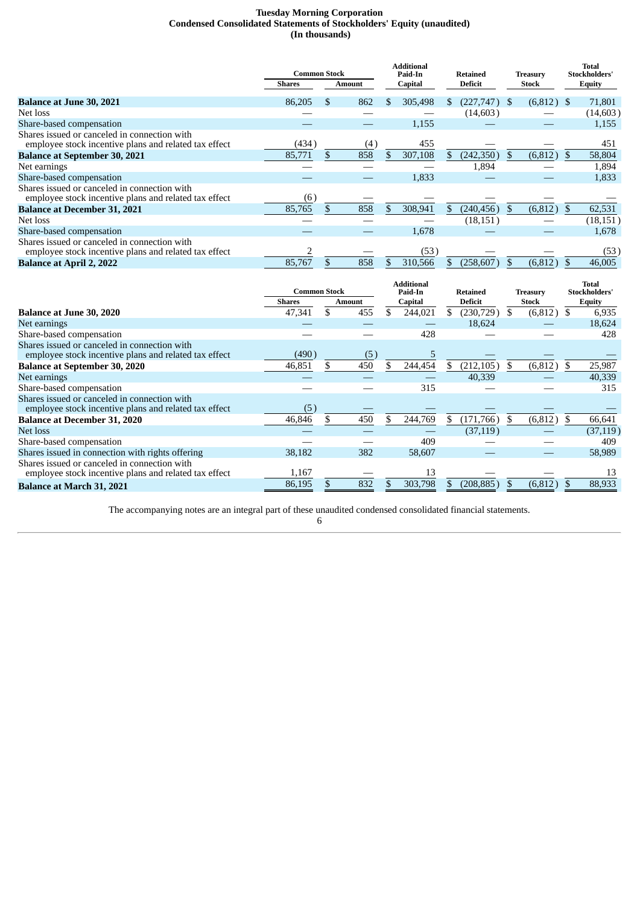# **Tuesday Morning Corporation Condensed Consolidated Statements of Stockholders' Equity (unaudited) (In thousands)**

<span id="page-5-0"></span>

|                                                                                                       | <b>Common Stock</b> |     |        |    | <b>Additional</b><br>Paid-In |     | <b>Retained</b> |     | <b>Treasury</b> |    | <b>Total</b><br><b>Stockholders'</b> |
|-------------------------------------------------------------------------------------------------------|---------------------|-----|--------|----|------------------------------|-----|-----------------|-----|-----------------|----|--------------------------------------|
|                                                                                                       | <b>Shares</b>       |     | Amount |    | Capital                      |     | <b>Deficit</b>  |     | Stock           |    | <b>Equity</b>                        |
| <b>Balance at June 30, 2021</b>                                                                       | 86,205              | \$. | 862    | S. | 305,498                      | SS. | $(227,747)$ \$  |     | $(6,812)$ \$    |    | 71,801                               |
| Net loss                                                                                              |                     |     |        |    |                              |     | (14, 603)       |     |                 |    | (14, 603)                            |
| Share-based compensation                                                                              |                     |     |        |    | 1,155                        |     |                 |     |                 |    | 1,155                                |
| Shares issued or canceled in connection with<br>employee stock incentive plans and related tax effect | (434)               |     | (4)    |    | 455                          |     |                 |     |                 |    | 451                                  |
| <b>Balance at September 30, 2021</b>                                                                  | 85,771              |     | 858    |    | 307,108                      |     | (242, 350)      |     | (6,812)         |    | 58,804                               |
| Net earnings                                                                                          |                     |     |        |    |                              |     | 1,894           |     |                 |    | 1,894                                |
| Share-based compensation                                                                              |                     |     |        |    | 1,833                        |     |                 |     |                 |    | 1,833                                |
| Shares issued or canceled in connection with<br>employee stock incentive plans and related tax effect | (6)                 |     |        |    |                              |     |                 |     |                 |    |                                      |
| <b>Balance at December 31, 2021</b>                                                                   | 85,765              |     | 858    |    | 308,941                      | \$  | (240, 456)      | \$. | (6,812)         | -S | 62,531                               |
| Net loss                                                                                              |                     |     |        |    |                              |     | (18, 151)       |     |                 |    | (18, 151)                            |
| Share-based compensation                                                                              |                     |     |        |    | 1,678                        |     |                 |     |                 |    | 1,678                                |
| Shares issued or canceled in connection with<br>employee stock incentive plans and related tax effect |                     |     |        |    | (53)                         |     |                 |     |                 |    | (53)                                 |
| <b>Balance at April 2, 2022</b>                                                                       | 85,767              |     | 858    |    | 310,566                      |     | (258, 607)      |     | (6,812)         |    | 46,005                               |
|                                                                                                       |                     |     |        |    |                              |     |                 |     |                 |    |                                      |

|                                                                                                       | <b>Common Stock</b> |    |               | <b>Additional</b><br>Paid-In |   | Retained       |    | <b>Treasury</b> |   | <b>Total</b><br>Stockholders' |
|-------------------------------------------------------------------------------------------------------|---------------------|----|---------------|------------------------------|---|----------------|----|-----------------|---|-------------------------------|
|                                                                                                       | <b>Shares</b>       |    | <b>Amount</b> | Capital                      |   | <b>Deficit</b> |    | Stock           |   | Equity                        |
| <b>Balance at June 30, 2020</b>                                                                       | 47,341              |    | 455           | 244,021                      |   | (230, 729)     | S. | $(6,812)$ \$    |   | 6,935                         |
| Net earnings                                                                                          |                     |    |               |                              |   | 18,624         |    |                 |   | 18,624                        |
| Share-based compensation                                                                              |                     |    |               | 428                          |   |                |    |                 |   | 428                           |
| Shares issued or canceled in connection with<br>employee stock incentive plans and related tax effect | (490)               |    | (5)           | 5                            |   |                |    |                 |   |                               |
| <b>Balance at September 30, 2020</b>                                                                  | 46,851              | S. | 450           | 244,454                      | S | (212, 105)     | \$ | (6,812)         | S | 25,987                        |
| Net earnings                                                                                          |                     |    |               |                              |   | 40,339         |    |                 |   | 40,339                        |
| Share-based compensation                                                                              |                     |    |               | 315                          |   |                |    |                 |   | 315                           |
| Shares issued or canceled in connection with<br>employee stock incentive plans and related tax effect | (5)                 |    |               |                              |   |                |    |                 |   |                               |
| <b>Balance at December 31, 2020</b>                                                                   | 46,846              |    | 450           | 244.769                      |   | (171,766)      |    | (6,812)         |   | 66,641                        |
| Net loss                                                                                              |                     |    |               |                              |   | (37, 119)      |    |                 |   | (37, 119)                     |
| Share-based compensation                                                                              |                     |    |               | 409                          |   |                |    |                 |   | 409                           |
| Shares issued in connection with rights offering                                                      | 38,182              |    | 382           | 58,607                       |   |                |    |                 |   | 58,989                        |
| Shares issued or canceled in connection with<br>employee stock incentive plans and related tax effect | 1,167               |    |               | 13                           |   |                |    |                 |   | 13                            |
| <b>Balance at March 31, 2021</b>                                                                      | 86,195              |    | 832           | 303,798                      |   | (208, 885)     |    | (6,812)         |   | 88,933                        |

The accompanying notes are an integral part of these unaudited condensed consolidated financial statements.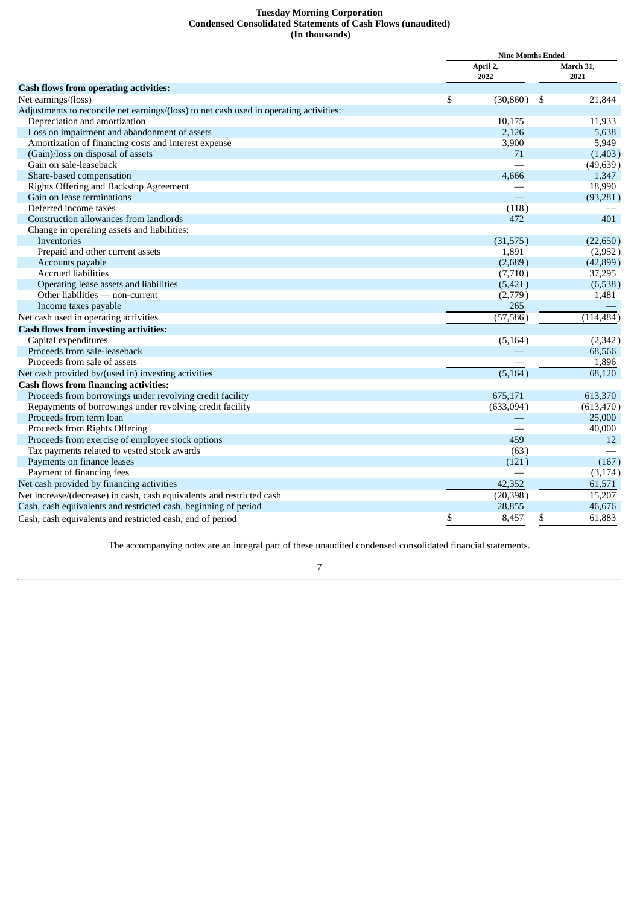# **Tuesday Morning Corporation Condensed Consolidated Statements of Cash Flows (unaudited) (In thousands)**

<span id="page-6-0"></span>

|                                                                                        |    | <b>Nine Months Ended</b> |      |                   |
|----------------------------------------------------------------------------------------|----|--------------------------|------|-------------------|
|                                                                                        |    | April 2,<br>2022         |      | March 31,<br>2021 |
| <b>Cash flows from operating activities:</b>                                           |    |                          |      |                   |
| Net earnings/(loss)                                                                    | \$ | (30, 860)                | - \$ | 21,844            |
| Adjustments to reconcile net earnings/(loss) to net cash used in operating activities: |    |                          |      |                   |
| Depreciation and amortization                                                          |    | 10,175                   |      | 11,933            |
| Loss on impairment and abandonment of assets                                           |    | 2,126                    |      | 5,638             |
| Amortization of financing costs and interest expense                                   |    | 3,900                    |      | 5,949             |
| (Gain)/loss on disposal of assets                                                      |    | 71                       |      | (1,403)           |
| Gain on sale-leaseback                                                                 |    |                          |      | (49, 639)         |
| Share-based compensation                                                               |    | 4,666                    |      | 1,347             |
| Rights Offering and Backstop Agreement                                                 |    |                          |      | 18,990            |
| Gain on lease terminations                                                             |    |                          |      | (93, 281)         |
| Deferred income taxes                                                                  |    | (118)                    |      |                   |
| Construction allowances from landlords                                                 |    | 472                      |      | 401               |
| Change in operating assets and liabilities:                                            |    |                          |      |                   |
| Inventories                                                                            |    | (31,575)                 |      | (22, 650)         |
| Prepaid and other current assets                                                       |    | 1,891                    |      | (2,952)           |
| Accounts payable                                                                       |    | (2,689)                  |      | (42, 899)         |
| <b>Accrued liabilities</b>                                                             |    | (7,710)                  |      | 37,295            |
| Operating lease assets and liabilities                                                 |    | (5,421)                  |      | (6,538)           |
| Other liabilities - non-current                                                        |    | (2,779)                  |      | 1,481             |
| Income taxes payable                                                                   |    | 265                      |      |                   |
| Net cash used in operating activities                                                  |    | (57, 586)                |      | (114, 484)        |
| <b>Cash flows from investing activities:</b>                                           |    |                          |      |                   |
| Capital expenditures                                                                   |    | (5, 164)                 |      | (2, 342)          |
| Proceeds from sale-leaseback                                                           |    |                          |      | 68,566            |
| Proceeds from sale of assets                                                           |    |                          |      | 1,896             |
| Net cash provided by/(used in) investing activities                                    |    | (5, 164)                 |      | 68,120            |
| <b>Cash flows from financing activities:</b>                                           |    |                          |      |                   |
| Proceeds from borrowings under revolving credit facility                               |    | 675.171                  |      | 613,370           |
| Repayments of borrowings under revolving credit facility                               |    | (633,094)                |      | (613, 470)        |
| Proceeds from term loan                                                                |    |                          |      | 25,000            |
| Proceeds from Rights Offering                                                          |    |                          |      | 40,000            |
| Proceeds from exercise of employee stock options                                       |    | 459                      |      | 12                |
| Tax payments related to vested stock awards                                            |    | (63)                     |      |                   |
| Payments on finance leases                                                             |    | (121)                    |      | (167)             |
| Payment of financing fees                                                              |    |                          |      | (3,174)           |
| Net cash provided by financing activities                                              |    | 42,352                   |      | 61,571            |
| Net increase/(decrease) in cash, cash equivalents and restricted cash                  |    | (20, 398)                |      | 15,207            |
| Cash, cash equivalents and restricted cash, beginning of period                        |    | 28,855                   |      | 46,676            |
| Cash, cash equivalents and restricted cash, end of period                              | \$ | 8,457                    | \$   | 61,883            |
|                                                                                        |    |                          |      |                   |

The accompanying notes are an integral part of these unaudited condensed consolidated financial statements.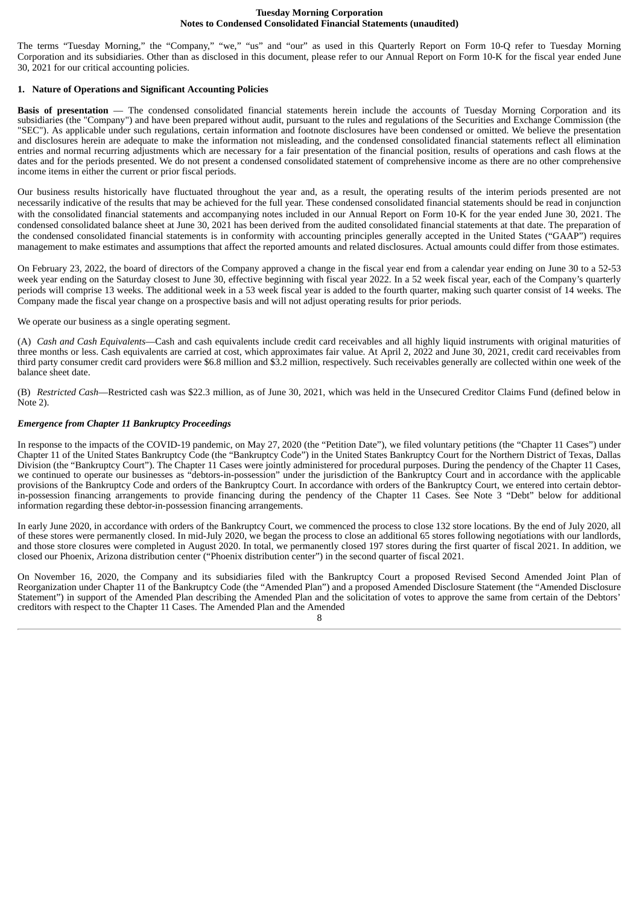#### **Tuesday Morning Corporation Notes to Condensed Consolidated Financial Statements (unaudited)**

<span id="page-7-0"></span>The terms "Tuesday Morning," the "Company," "we," "us" and "our" as used in this Quarterly Report on Form 10-Q refer to Tuesday Morning Corporation and its subsidiaries. Other than as disclosed in this document, please refer to our Annual Report on Form 10-K for the fiscal year ended June 30, 2021 for our critical accounting policies.

# **1. Nature of Operations and Significant Accounting Policies**

**Basis of presentation** — The condensed consolidated financial statements herein include the accounts of Tuesday Morning Corporation and its subsidiaries (the "Company") and have been prepared without audit, pursuant to the rules and regulations of the Securities and Exchange Commission (the "SEC"). As applicable under such regulations, certain information and footnote disclosures have been condensed or omitted. We believe the presentation and disclosures herein are adequate to make the information not misleading, and the condensed consolidated financial statements reflect all elimination entries and normal recurring adjustments which are necessary for a fair presentation of the financial position, results of operations and cash flows at the dates and for the periods presented. We do not present a condensed consolidated statement of comprehensive income as there are no other comprehensive income items in either the current or prior fiscal periods.

Our business results historically have fluctuated throughout the year and, as a result, the operating results of the interim periods presented are not necessarily indicative of the results that may be achieved for the full year. These condensed consolidated financial statements should be read in conjunction with the consolidated financial statements and accompanying notes included in our Annual Report on Form 10-K for the year ended June 30, 2021. The condensed consolidated balance sheet at June 30, 2021 has been derived from the audited consolidated financial statements at that date. The preparation of the condensed consolidated financial statements is in conformity with accounting principles generally accepted in the United States ("GAAP") requires management to make estimates and assumptions that affect the reported amounts and related disclosures. Actual amounts could differ from those estimates.

On February 23, 2022, the board of directors of the Company approved a change in the fiscal year end from a calendar year ending on June 30 to a 52-53 week year ending on the Saturday closest to June 30, effective beginning with fiscal year 2022. In a 52 week fiscal year, each of the Company's quarterly periods will comprise 13 weeks. The additional week in a 53 week fiscal year is added to the fourth quarter, making such quarter consist of 14 weeks. The Company made the fiscal year change on a prospective basis and will not adjust operating results for prior periods.

We operate our business as a single operating segment.

(A) *Cash and Cash Equivalents*—Cash and cash equivalents include credit card receivables and all highly liquid instruments with original maturities of three months or less. Cash equivalents are carried at cost, which approximates fair value. At April 2, 2022 and June 30, 2021, credit card receivables from third party consumer credit card providers were \$6.8 million and \$3.2 million, respectively. Such receivables generally are collected within one week of the balance sheet date.

(B) *Restricted Cash*—Restricted cash was \$22.3 million, as of June 30, 2021, which was held in the Unsecured Creditor Claims Fund (defined below in Note 2).

# *Emergence from Chapter 11 Bankruptcy Proceedings*

In response to the impacts of the COVID-19 pandemic, on May 27, 2020 (the "Petition Date"), we filed voluntary petitions (the "Chapter 11 Cases") under Chapter 11 of the United States Bankruptcy Code (the "Bankruptcy Code") in the United States Bankruptcy Court for the Northern District of Texas, Dallas Division (the "Bankruptcy Court"). The Chapter 11 Cases were jointly administered for procedural purposes. During the pendency of the Chapter 11 Cases, we continued to operate our businesses as "debtors-in-possession" under the jurisdiction of the Bankruptcy Court and in accordance with the applicable provisions of the Bankruptcy Code and orders of the Bankruptcy Court. In accordance with orders of the Bankruptcy Court, we entered into certain debtorin-possession financing arrangements to provide financing during the pendency of the Chapter 11 Cases. See Note 3 "Debt" below for additional information regarding these debtor-in-possession financing arrangements.

In early June 2020, in accordance with orders of the Bankruptcy Court, we commenced the process to close 132 store locations. By the end of July 2020, all of these stores were permanently closed. In mid-July 2020, we began the process to close an additional 65 stores following negotiations with our landlords, and those store closures were completed in August 2020. In total, we permanently closed 197 stores during the first quarter of fiscal 2021. In addition, we closed our Phoenix, Arizona distribution center ("Phoenix distribution center") in the second quarter of fiscal 2021.

On November 16, 2020, the Company and its subsidiaries filed with the Bankruptcy Court a proposed Revised Second Amended Joint Plan of Reorganization under Chapter 11 of the Bankruptcy Code (the "Amended Plan") and a proposed Amended Disclosure Statement (the "Amended Disclosure Statement") in support of the Amended Plan describing the Amended Plan and the solicitation of votes to approve the same from certain of the Debtors' creditors with respect to the Chapter 11 Cases. The Amended Plan and the Amended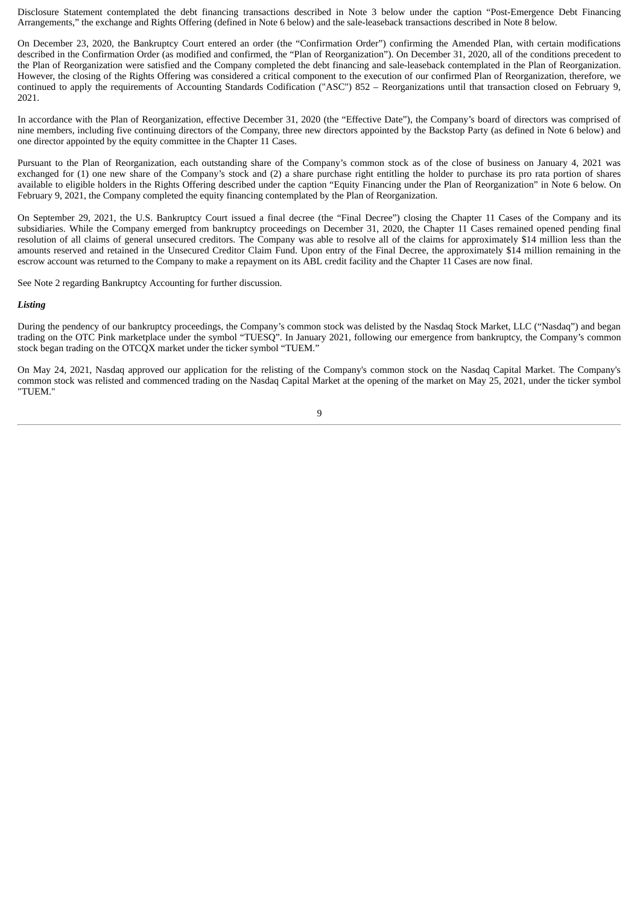Disclosure Statement contemplated the debt financing transactions described in Note 3 below under the caption "Post-Emergence Debt Financing Arrangements," the exchange and Rights Offering (defined in Note 6 below) and the sale-leaseback transactions described in Note 8 below.

On December 23, 2020, the Bankruptcy Court entered an order (the "Confirmation Order") confirming the Amended Plan, with certain modifications described in the Confirmation Order (as modified and confirmed, the "Plan of Reorganization"). On December 31, 2020, all of the conditions precedent to the Plan of Reorganization were satisfied and the Company completed the debt financing and sale-leaseback contemplated in the Plan of Reorganization. However, the closing of the Rights Offering was considered a critical component to the execution of our confirmed Plan of Reorganization, therefore, we continued to apply the requirements of Accounting Standards Codification ("ASC") 852 – Reorganizations until that transaction closed on February 9, 2021.

In accordance with the Plan of Reorganization, effective December 31, 2020 (the "Effective Date"), the Company's board of directors was comprised of nine members, including five continuing directors of the Company, three new directors appointed by the Backstop Party (as defined in Note 6 below) and one director appointed by the equity committee in the Chapter 11 Cases.

Pursuant to the Plan of Reorganization, each outstanding share of the Company's common stock as of the close of business on January 4, 2021 was exchanged for (1) one new share of the Company's stock and (2) a share purchase right entitling the holder to purchase its pro rata portion of shares available to eligible holders in the Rights Offering described under the caption "Equity Financing under the Plan of Reorganization" in Note 6 below. On February 9, 2021, the Company completed the equity financing contemplated by the Plan of Reorganization.

On September 29, 2021, the U.S. Bankruptcy Court issued a final decree (the "Final Decree") closing the Chapter 11 Cases of the Company and its subsidiaries. While the Company emerged from bankruptcy proceedings on December 31, 2020, the Chapter 11 Cases remained opened pending final resolution of all claims of general unsecured creditors. The Company was able to resolve all of the claims for approximately \$14 million less than the amounts reserved and retained in the Unsecured Creditor Claim Fund. Upon entry of the Final Decree, the approximately \$14 million remaining in the escrow account was returned to the Company to make a repayment on its ABL credit facility and the Chapter 11 Cases are now final.

See Note 2 regarding Bankruptcy Accounting for further discussion.

#### *Listing*

During the pendency of our bankruptcy proceedings, the Company's common stock was delisted by the Nasdaq Stock Market, LLC ("Nasdaq") and began trading on the OTC Pink marketplace under the symbol "TUESQ". In January 2021, following our emergence from bankruptcy, the Company's common stock began trading on the OTCQX market under the ticker symbol "TUEM."

On May 24, 2021, Nasdaq approved our application for the relisting of the Company's common stock on the Nasdaq Capital Market. The Company's common stock was relisted and commenced trading on the Nasdaq Capital Market at the opening of the market on May 25, 2021, under the ticker symbol "TUEM."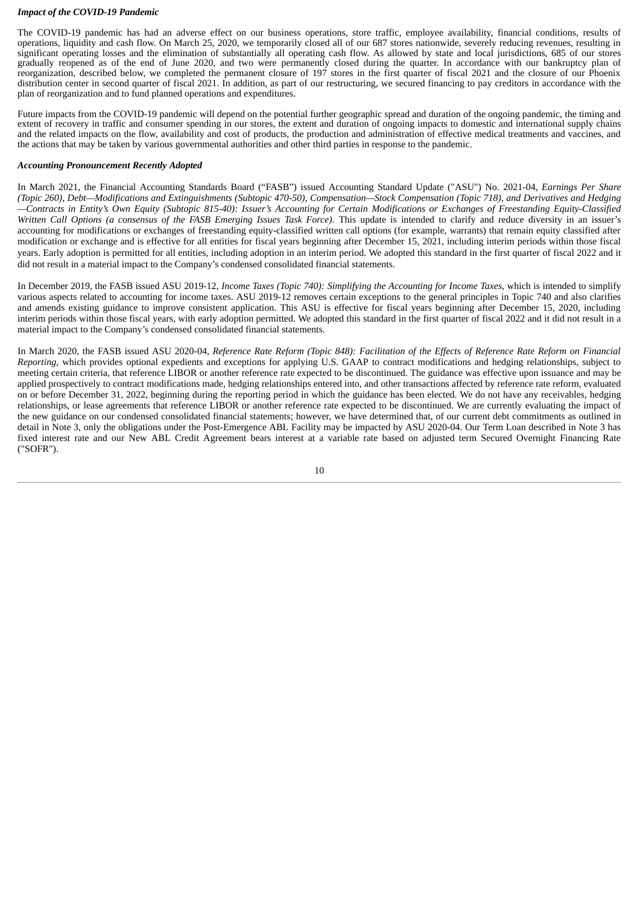#### *Impact of the COVID-19 Pandemic*

The COVID-19 pandemic has had an adverse effect on our business operations, store traffic, employee availability, financial conditions, results of operations, liquidity and cash flow. On March 25, 2020, we temporarily closed all of our 687 stores nationwide, severely reducing revenues, resulting in significant operating losses and the elimination of substantially all operating cash flow. As allowed by state and local jurisdictions, 685 of our stores gradually reopened as of the end of June 2020, and two were permanently closed during the quarter. In accordance with our bankruptcy plan of reorganization, described below, we completed the permanent closure of 197 stores in the first quarter of fiscal 2021 and the closure of our Phoenix distribution center in second quarter of fiscal 2021. In addition, as part of our restructuring, we secured financing to pay creditors in accordance with the plan of reorganization and to fund planned operations and expenditures.

Future impacts from the COVID-19 pandemic will depend on the potential further geographic spread and duration of the ongoing pandemic, the timing and extent of recovery in traffic and consumer spending in our stores, the extent and duration of ongoing impacts to domestic and international supply chains and the related impacts on the flow, availability and cost of products, the production and administration of effective medical treatments and vaccines, and the actions that may be taken by various governmental authorities and other third parties in response to the pandemic.

#### *Accounting Pronouncement Recently Adopted*

In March 2021, the Financial Accounting Standards Board ("FASB") issued Accounting Standard Update ("ASU") No. 2021-04, *Earnings Per Share* (Topic 260), Debt-Modifications and Extinguishments (Subtopic 470-50), Compensation-Stock Compensation (Topic 718), and Derivatives and Hedging -Contracts in Entity's Own Equity (Subtopic 815-40): Issuer's Accounting for Certain Modifications or Exchanges of Freestanding Equity-Classified Written Call Options (a consensus of the FASB Emerging Issues Task Force). This update is intended to clarify and reduce diversity in an issuer's accounting for modifications or exchanges of freestanding equity-classified written call options (for example, warrants) that remain equity classified after modification or exchange and is effective for all entities for fiscal years beginning after December 15, 2021, including interim periods within those fiscal years. Early adoption is permitted for all entities, including adoption in an interim period. We adopted this standard in the first quarter of fiscal 2022 and it did not result in a material impact to the Company's condensed consolidated financial statements.

In December 2019, the FASB issued ASU 2019-12, *Income Taxes (Topic 740): Simplifying the Accounting for Income Taxes*, which is intended to simplify various aspects related to accounting for income taxes. ASU 2019-12 removes certain exceptions to the general principles in Topic 740 and also clarifies and amends existing guidance to improve consistent application. This ASU is effective for fiscal years beginning after December 15, 2020, including interim periods within those fiscal years, with early adoption permitted. We adopted this standard in the first quarter of fiscal 2022 and it did not result in a material impact to the Company's condensed consolidated financial statements.

In March 2020, the FASB issued ASU 2020-04, Reference Rate Reform (Topic 848): Facilitation of the Effects of Reference Rate Reform on Financial *Reporting*, which provides optional expedients and exceptions for applying U.S. GAAP to contract modifications and hedging relationships, subject to meeting certain criteria, that reference LIBOR or another reference rate expected to be discontinued. The guidance was effective upon issuance and may be applied prospectively to contract modifications made, hedging relationships entered into, and other transactions affected by reference rate reform, evaluated on or before December 31, 2022, beginning during the reporting period in which the guidance has been elected. We do not have any receivables, hedging relationships, or lease agreements that reference LIBOR or another reference rate expected to be discontinued. We are currently evaluating the impact of the new guidance on our condensed consolidated financial statements; however, we have determined that, of our current debt commitments as outlined in detail in Note 3, only the obligations under the Post-Emergence ABL Facility may be impacted by ASU 2020-04. Our Term Loan described in Note 3 has fixed interest rate and our New ABL Credit Agreement bears interest at a variable rate based on adjusted term Secured Overnight Financing Rate ("SOFR").

 $1<sub>0</sub>$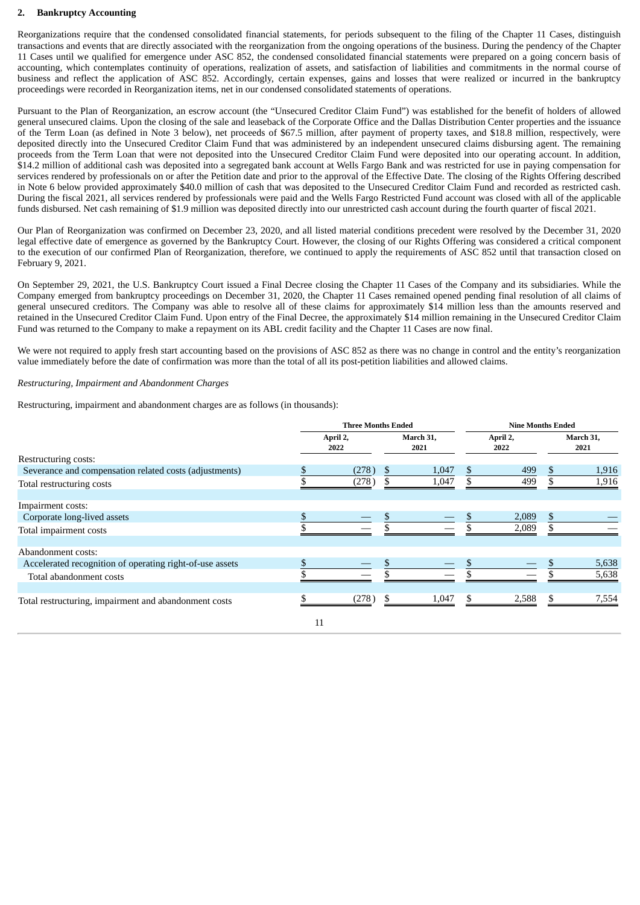#### **2. Bankruptcy Accounting**

Reorganizations require that the condensed consolidated financial statements, for periods subsequent to the filing of the Chapter 11 Cases, distinguish transactions and events that are directly associated with the reorganization from the ongoing operations of the business. During the pendency of the Chapter 11 Cases until we qualified for emergence under ASC 852, the condensed consolidated financial statements were prepared on a going concern basis of accounting, which contemplates continuity of operations, realization of assets, and satisfaction of liabilities and commitments in the normal course of business and reflect the application of ASC 852. Accordingly, certain expenses, gains and losses that were realized or incurred in the bankruptcy proceedings were recorded in Reorganization items, net in our condensed consolidated statements of operations.

Pursuant to the Plan of Reorganization, an escrow account (the "Unsecured Creditor Claim Fund") was established for the benefit of holders of allowed general unsecured claims. Upon the closing of the sale and leaseback of the Corporate Office and the Dallas Distribution Center properties and the issuance of the Term Loan (as defined in Note 3 below), net proceeds of \$67.5 million, after payment of property taxes, and \$18.8 million, respectively, were deposited directly into the Unsecured Creditor Claim Fund that was administered by an independent unsecured claims disbursing agent. The remaining proceeds from the Term Loan that were not deposited into the Unsecured Creditor Claim Fund were deposited into our operating account. In addition, \$14.2 million of additional cash was deposited into a segregated bank account at Wells Fargo Bank and was restricted for use in paying compensation for services rendered by professionals on or after the Petition date and prior to the approval of the Effective Date. The closing of the Rights Offering described in Note 6 below provided approximately \$40.0 million of cash that was deposited to the Unsecured Creditor Claim Fund and recorded as restricted cash. During the fiscal 2021, all services rendered by professionals were paid and the Wells Fargo Restricted Fund account was closed with all of the applicable funds disbursed. Net cash remaining of \$1.9 million was deposited directly into our unrestricted cash account during the fourth quarter of fiscal 2021.

Our Plan of Reorganization was confirmed on December 23, 2020, and all listed material conditions precedent were resolved by the December 31, 2020 legal effective date of emergence as governed by the Bankruptcy Court. However, the closing of our Rights Offering was considered a critical component to the execution of our confirmed Plan of Reorganization, therefore, we continued to apply the requirements of ASC 852 until that transaction closed on February 9, 2021.

On September 29, 2021, the U.S. Bankruptcy Court issued a Final Decree closing the Chapter 11 Cases of the Company and its subsidiaries. While the Company emerged from bankruptcy proceedings on December 31, 2020, the Chapter 11 Cases remained opened pending final resolution of all claims of general unsecured creditors. The Company was able to resolve all of these claims for approximately \$14 million less than the amounts reserved and retained in the Unsecured Creditor Claim Fund. Upon entry of the Final Decree, the approximately \$14 million remaining in the Unsecured Creditor Claim Fund was returned to the Company to make a repayment on its ABL credit facility and the Chapter 11 Cases are now final.

We were not required to apply fresh start accounting based on the provisions of ASC 852 as there was no change in control and the entity's reorganization value immediately before the date of confirmation was more than the total of all its post-petition liabilities and allowed claims.

### *Restructuring, Impairment and Abandonment Charges*

Restructuring, impairment and abandonment charges are as follows (in thousands):

|                                                          | <b>Three Months Ended</b> |                  |  |                   | <b>Nine Months Ended</b> |                  |    |                   |  |
|----------------------------------------------------------|---------------------------|------------------|--|-------------------|--------------------------|------------------|----|-------------------|--|
|                                                          |                           | April 2,<br>2022 |  | March 31,<br>2021 |                          | April 2,<br>2022 |    | March 31,<br>2021 |  |
| Restructuring costs:                                     |                           |                  |  |                   |                          |                  |    |                   |  |
| Severance and compensation related costs (adjustments)   |                           | (278)            |  | 1,047             |                          | 499              |    | 1,916             |  |
| Total restructuring costs                                |                           | (278)            |  | 1,047             |                          | 499              |    | 1,916             |  |
| Impairment costs:                                        |                           |                  |  |                   |                          |                  |    |                   |  |
| Corporate long-lived assets                              |                           |                  |  |                   |                          | 2,089            | \$ |                   |  |
| Total impairment costs                                   |                           |                  |  |                   |                          | 2,089            |    |                   |  |
| Abandonment costs:                                       |                           |                  |  |                   |                          |                  |    |                   |  |
| Accelerated recognition of operating right-of-use assets |                           |                  |  |                   |                          |                  |    | 5,638             |  |
| Total abandonment costs                                  |                           |                  |  |                   |                          |                  |    | 5,638             |  |
| Total restructuring, impairment and abandonment costs    |                           | (278)            |  | 1,047             | \$                       | 2,588            | \$ | 7,554             |  |
|                                                          | 11                        |                  |  |                   |                          |                  |    |                   |  |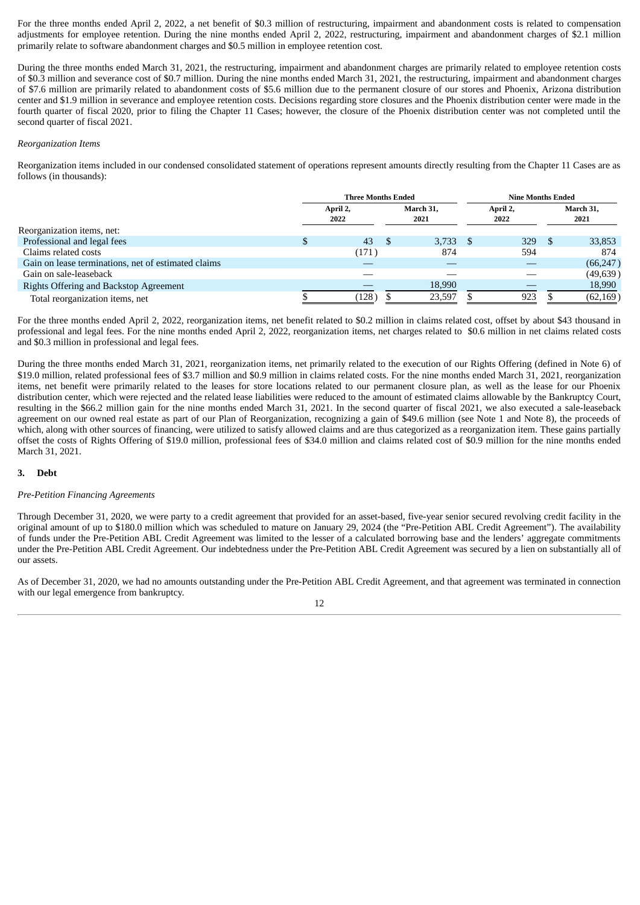For the three months ended April 2, 2022, a net benefit of \$0.3 million of restructuring, impairment and abandonment costs is related to compensation adjustments for employee retention. During the nine months ended April 2, 2022, restructuring, impairment and abandonment charges of \$2.1 million primarily relate to software abandonment charges and \$0.5 million in employee retention cost.

During the three months ended March 31, 2021, the restructuring, impairment and abandonment charges are primarily related to employee retention costs of \$0.3 million and severance cost of \$0.7 million. During the nine months ended March 31, 2021, the restructuring, impairment and abandonment charges of \$7.6 million are primarily related to abandonment costs of \$5.6 million due to the permanent closure of our stores and Phoenix, Arizona distribution center and \$1.9 million in severance and employee retention costs. Decisions regarding store closures and the Phoenix distribution center were made in the fourth quarter of fiscal 2020, prior to filing the Chapter 11 Cases; however, the closure of the Phoenix distribution center was not completed until the second quarter of fiscal 2021.

### *Reorganization Items*

Reorganization items included in our condensed consolidated statement of operations represent amounts directly resulting from the Chapter 11 Cases are as follows (in thousands):

|                                                     |                                       | <b>Three Months Ended</b> |      |            |                  |     | <b>Nine Months Ended</b> |           |  |  |  |
|-----------------------------------------------------|---------------------------------------|---------------------------|------|------------|------------------|-----|--------------------------|-----------|--|--|--|
|                                                     | March 31,<br>April 2,<br>2022<br>2021 |                           |      |            | April 2,<br>2022 |     | March 31,<br>2021        |           |  |  |  |
| Reorganization items, net:                          |                                       |                           |      |            |                  |     |                          |           |  |  |  |
| Professional and legal fees                         |                                       | 43                        | - \$ | $3,733$ \$ |                  | 329 | - \$                     | 33,853    |  |  |  |
| Claims related costs                                |                                       | (171)                     |      | 874        |                  | 594 |                          | 874       |  |  |  |
| Gain on lease terminations, net of estimated claims |                                       |                           |      |            |                  |     |                          | (66, 247) |  |  |  |
| Gain on sale-leaseback                              |                                       |                           |      |            |                  |     |                          | (49, 639) |  |  |  |
| Rights Offering and Backstop Agreement              |                                       |                           |      | 18,990     |                  |     |                          | 18,990    |  |  |  |
| Total reorganization items, net                     |                                       | (128)                     |      | 23,597     |                  | 923 |                          | (62, 169) |  |  |  |

For the three months ended April 2, 2022, reorganization items, net benefit related to \$0.2 million in claims related cost, offset by about \$43 thousand in professional and legal fees. For the nine months ended April 2, 2022, reorganization items, net charges related to \$0.6 million in net claims related costs and \$0.3 million in professional and legal fees.

During the three months ended March 31, 2021, reorganization items, net primarily related to the execution of our Rights Offering (defined in Note 6) of \$19.0 million, related professional fees of \$3.7 million and \$0.9 million in claims related costs. For the nine months ended March 31, 2021, reorganization items, net benefit were primarily related to the leases for store locations related to our permanent closure plan, as well as the lease for our Phoenix distribution center, which were rejected and the related lease liabilities were reduced to the amount of estimated claims allowable by the Bankruptcy Court, resulting in the \$66.2 million gain for the nine months ended March 31, 2021. In the second quarter of fiscal 2021, we also executed a sale-leaseback agreement on our owned real estate as part of our Plan of Reorganization, recognizing a gain of \$49.6 million (see Note 1 and Note 8), the proceeds of which, along with other sources of financing, were utilized to satisfy allowed claims and are thus categorized as a reorganization item. These gains partially offset the costs of Rights Offering of \$19.0 million, professional fees of \$34.0 million and claims related cost of \$0.9 million for the nine months ended March 31, 2021.

#### **3. Debt**

#### *Pre-Petition Financing Agreements*

Through December 31, 2020, we were party to a credit agreement that provided for an asset-based, five-year senior secured revolving credit facility in the original amount of up to \$180.0 million which was scheduled to mature on January 29, 2024 (the "Pre-Petition ABL Credit Agreement"). The availability of funds under the Pre-Petition ABL Credit Agreement was limited to the lesser of a calculated borrowing base and the lenders' aggregate commitments under the Pre-Petition ABL Credit Agreement. Our indebtedness under the Pre-Petition ABL Credit Agreement was secured by a lien on substantially all of our assets.

As of December 31, 2020, we had no amounts outstanding under the Pre-Petition ABL Credit Agreement, and that agreement was terminated in connection with our legal emergence from bankruptcy.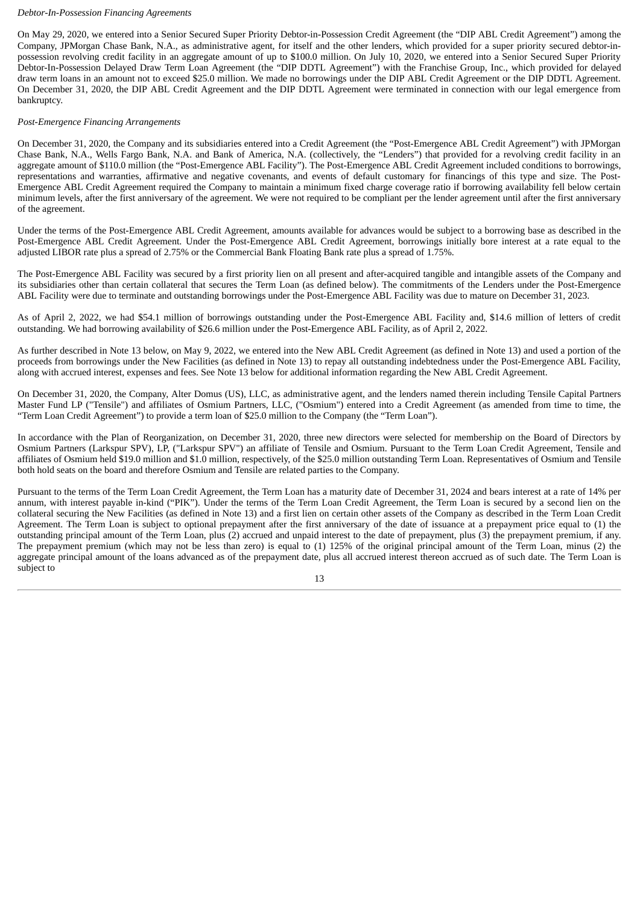#### *Debtor-In-Possession Financing Agreements*

On May 29, 2020, we entered into a Senior Secured Super Priority Debtor-in-Possession Credit Agreement (the "DIP ABL Credit Agreement") among the Company, JPMorgan Chase Bank, N.A., as administrative agent, for itself and the other lenders, which provided for a super priority secured debtor-inpossession revolving credit facility in an aggregate amount of up to \$100.0 million. On July 10, 2020, we entered into a Senior Secured Super Priority Debtor-In-Possession Delayed Draw Term Loan Agreement (the "DIP DDTL Agreement") with the Franchise Group, Inc., which provided for delayed draw term loans in an amount not to exceed \$25.0 million. We made no borrowings under the DIP ABL Credit Agreement or the DIP DDTL Agreement. On December 31, 2020, the DIP ABL Credit Agreement and the DIP DDTL Agreement were terminated in connection with our legal emergence from bankruptcy.

#### *Post-Emergence Financing Arrangements*

On December 31, 2020, the Company and its subsidiaries entered into a Credit Agreement (the "Post-Emergence ABL Credit Agreement") with JPMorgan Chase Bank, N.A., Wells Fargo Bank, N.A. and Bank of America, N.A. (collectively, the "Lenders") that provided for a revolving credit facility in an aggregate amount of \$110.0 million (the "Post-Emergence ABL Facility"). The Post-Emergence ABL Credit Agreement included conditions to borrowings, representations and warranties, affirmative and negative covenants, and events of default customary for financings of this type and size. The Post-Emergence ABL Credit Agreement required the Company to maintain a minimum fixed charge coverage ratio if borrowing availability fell below certain minimum levels, after the first anniversary of the agreement. We were not required to be compliant per the lender agreement until after the first anniversary of the agreement.

Under the terms of the Post-Emergence ABL Credit Agreement, amounts available for advances would be subject to a borrowing base as described in the Post-Emergence ABL Credit Agreement. Under the Post-Emergence ABL Credit Agreement, borrowings initially bore interest at a rate equal to the adjusted LIBOR rate plus a spread of 2.75% or the Commercial Bank Floating Bank rate plus a spread of 1.75%.

The Post-Emergence ABL Facility was secured by a first priority lien on all present and after-acquired tangible and intangible assets of the Company and its subsidiaries other than certain collateral that secures the Term Loan (as defined below). The commitments of the Lenders under the Post-Emergence ABL Facility were due to terminate and outstanding borrowings under the Post-Emergence ABL Facility was due to mature on December 31, 2023.

As of April 2, 2022, we had \$54.1 million of borrowings outstanding under the Post-Emergence ABL Facility and, \$14.6 million of letters of credit outstanding. We had borrowing availability of \$26.6 million under the Post-Emergence ABL Facility, as of April 2, 2022.

As further described in Note 13 below, on May 9, 2022, we entered into the New ABL Credit Agreement (as defined in Note 13) and used a portion of the proceeds from borrowings under the New Facilities (as defined in Note 13) to repay all outstanding indebtedness under the Post-Emergence ABL Facility, along with accrued interest, expenses and fees. See Note 13 below for additional information regarding the New ABL Credit Agreement.

On December 31, 2020, the Company, Alter Domus (US), LLC, as administrative agent, and the lenders named therein including Tensile Capital Partners Master Fund LP ("Tensile") and affiliates of Osmium Partners, LLC, ("Osmium") entered into a Credit Agreement (as amended from time to time, the "Term Loan Credit Agreement") to provide a term loan of \$25.0 million to the Company (the "Term Loan").

In accordance with the Plan of Reorganization, on December 31, 2020, three new directors were selected for membership on the Board of Directors by Osmium Partners (Larkspur SPV), LP, ("Larkspur SPV") an affiliate of Tensile and Osmium. Pursuant to the Term Loan Credit Agreement, Tensile and affiliates of Osmium held \$19.0 million and \$1.0 million, respectively, of the \$25.0 million outstanding Term Loan. Representatives of Osmium and Tensile both hold seats on the board and therefore Osmium and Tensile are related parties to the Company.

Pursuant to the terms of the Term Loan Credit Agreement, the Term Loan has a maturity date of December 31, 2024 and bears interest at a rate of 14% per annum, with interest payable in-kind ("PIK"). Under the terms of the Term Loan Credit Agreement, the Term Loan is secured by a second lien on the collateral securing the New Facilities (as defined in Note 13) and a first lien on certain other assets of the Company as described in the Term Loan Credit Agreement. The Term Loan is subject to optional prepayment after the first anniversary of the date of issuance at a prepayment price equal to (1) the outstanding principal amount of the Term Loan, plus (2) accrued and unpaid interest to the date of prepayment, plus (3) the prepayment premium, if any. The prepayment premium (which may not be less than zero) is equal to (1) 125% of the original principal amount of the Term Loan, minus (2) the aggregate principal amount of the loans advanced as of the prepayment date, plus all accrued interest thereon accrued as of such date. The Term Loan is subject to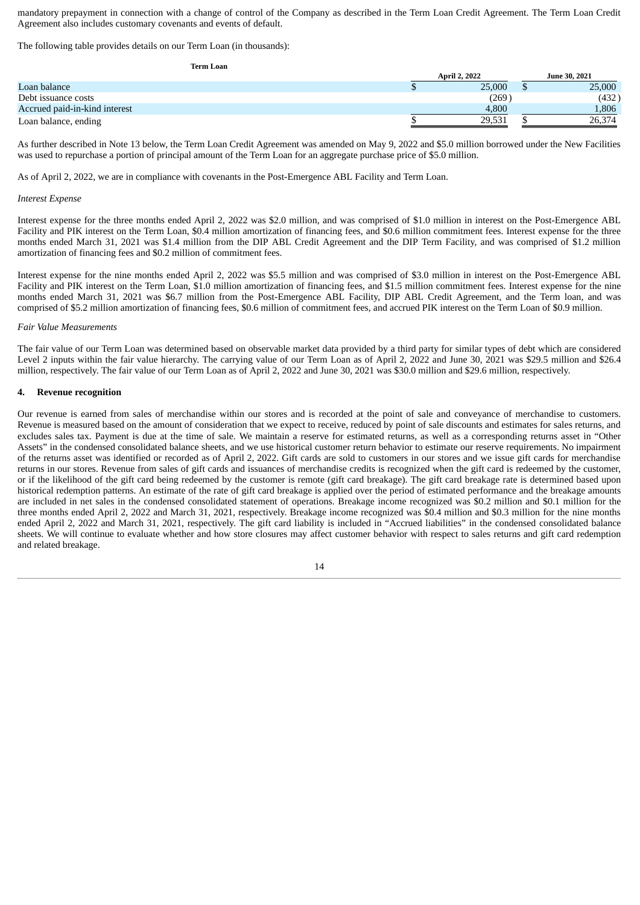mandatory prepayment in connection with a change of control of the Company as described in the Term Loan Credit Agreement. The Term Loan Credit Agreement also includes customary covenants and events of default.

The following table provides details on our Term Loan (in thousands):

#### **Term Loan**

|                               | <b>April 2, 2022</b> | <b>June 30, 2021</b> |
|-------------------------------|----------------------|----------------------|
| Loan balance                  | 25,000               | 25,000               |
| Debt issuance costs           | (269)                | (432)                |
| Accrued paid-in-kind interest | 4.800                | 1.806                |
| Loan balance, ending          | 29.531               | 26.374               |

As further described in Note 13 below, the Term Loan Credit Agreement was amended on May 9, 2022 and \$5.0 million borrowed under the New Facilities was used to repurchase a portion of principal amount of the Term Loan for an aggregate purchase price of \$5.0 million.

As of April 2, 2022, we are in compliance with covenants in the Post-Emergence ABL Facility and Term Loan.

#### *Interest Expense*

Interest expense for the three months ended April 2, 2022 was \$2.0 million, and was comprised of \$1.0 million in interest on the Post-Emergence ABL Facility and PIK interest on the Term Loan, \$0.4 million amortization of financing fees, and \$0.6 million commitment fees. Interest expense for the three months ended March 31, 2021 was \$1.4 million from the DIP ABL Credit Agreement and the DIP Term Facility, and was comprised of \$1.2 million amortization of financing fees and \$0.2 million of commitment fees.

Interest expense for the nine months ended April 2, 2022 was \$5.5 million and was comprised of \$3.0 million in interest on the Post-Emergence ABL Facility and PIK interest on the Term Loan, \$1.0 million amortization of financing fees, and \$1.5 million commitment fees. Interest expense for the nine months ended March 31, 2021 was \$6.7 million from the Post-Emergence ABL Facility, DIP ABL Credit Agreement, and the Term loan, and was comprised of \$5.2 million amortization of financing fees, \$0.6 million of commitment fees, and accrued PIK interest on the Term Loan of \$0.9 million.

#### *Fair Value Measurements*

The fair value of our Term Loan was determined based on observable market data provided by a third party for similar types of debt which are considered Level 2 inputs within the fair value hierarchy. The carrying value of our Term Loan as of April 2, 2022 and June 30, 2021 was \$29.5 million and \$26.4 million, respectively. The fair value of our Term Loan as of April 2, 2022 and June 30, 2021 was \$30.0 million and \$29.6 million, respectively.

#### **4. Revenue recognition**

Our revenue is earned from sales of merchandise within our stores and is recorded at the point of sale and conveyance of merchandise to customers. Revenue is measured based on the amount of consideration that we expect to receive, reduced by point of sale discounts and estimates for sales returns, and excludes sales tax. Payment is due at the time of sale. We maintain a reserve for estimated returns, as well as a corresponding returns asset in "Other Assets" in the condensed consolidated balance sheets, and we use historical customer return behavior to estimate our reserve requirements. No impairment of the returns asset was identified or recorded as of April 2, 2022. Gift cards are sold to customers in our stores and we issue gift cards for merchandise returns in our stores. Revenue from sales of gift cards and issuances of merchandise credits is recognized when the gift card is redeemed by the customer, or if the likelihood of the gift card being redeemed by the customer is remote (gift card breakage). The gift card breakage rate is determined based upon historical redemption patterns. An estimate of the rate of gift card breakage is applied over the period of estimated performance and the breakage amounts are included in net sales in the condensed consolidated statement of operations. Breakage income recognized was \$0.2 million and \$0.1 million for the three months ended April 2, 2022 and March 31, 2021, respectively. Breakage income recognized was \$0.4 million and \$0.3 million for the nine months ended April 2, 2022 and March 31, 2021, respectively. The gift card liability is included in "Accrued liabilities" in the condensed consolidated balance sheets. We will continue to evaluate whether and how store closures may affect customer behavior with respect to sales returns and gift card redemption and related breakage.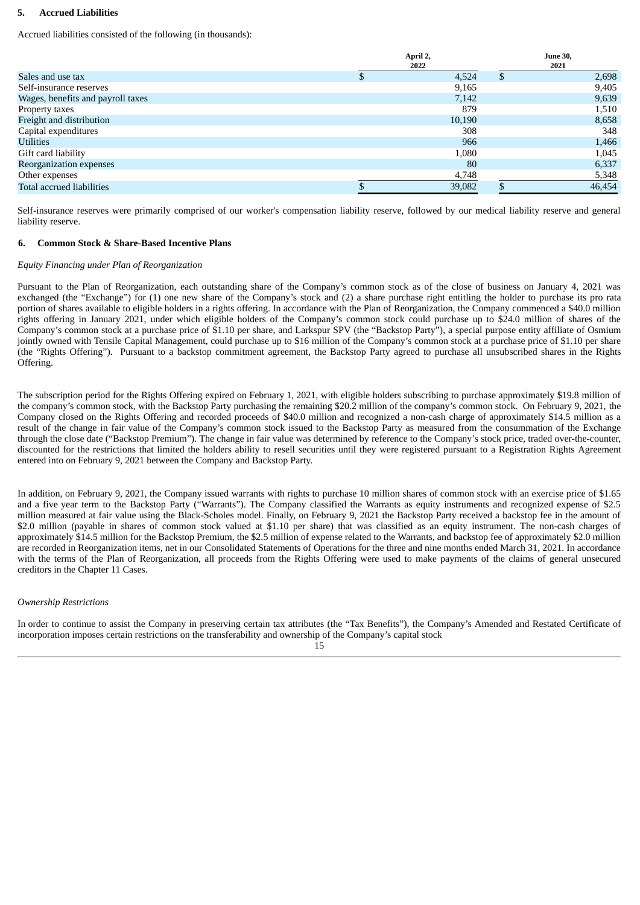# **5. Accrued Liabilities**

Accrued liabilities consisted of the following (in thousands):

|                                   | April 2, | <b>June 30,</b><br>2021 |    |        |
|-----------------------------------|----------|-------------------------|----|--------|
| Sales and use tax                 |          | 4,524                   | \$ | 2,698  |
| Self-insurance reserves           |          | 9,165                   |    | 9,405  |
| Wages, benefits and payroll taxes |          | 7,142                   |    | 9,639  |
| Property taxes                    |          | 879                     |    | 1,510  |
| Freight and distribution          |          | 10,190                  |    | 8,658  |
| Capital expenditures              |          | 308                     |    | 348    |
| <b>Utilities</b>                  |          | 966                     |    | 1,466  |
| Gift card liability               |          | 1,080                   |    | 1,045  |
| Reorganization expenses           |          | 80                      |    | 6,337  |
| Other expenses                    |          | 4,748                   |    | 5,348  |
| Total accrued liabilities         |          | 39,082                  |    | 46,454 |

Self-insurance reserves were primarily comprised of our worker's compensation liability reserve, followed by our medical liability reserve and general liability reserve.

### **6. Common Stock & Share-Based Incentive Plans**

#### *Equity Financing under Plan of Reorganization*

Pursuant to the Plan of Reorganization, each outstanding share of the Company's common stock as of the close of business on January 4, 2021 was exchanged (the "Exchange") for (1) one new share of the Company's stock and (2) a share purchase right entitling the holder to purchase its pro rata portion of shares available to eligible holders in a rights offering. In accordance with the Plan of Reorganization, the Company commenced a \$40.0 million rights offering in January 2021, under which eligible holders of the Company's common stock could purchase up to \$24.0 million of shares of the Company's common stock at a purchase price of \$1.10 per share, and Larkspur SPV (the "Backstop Party"), a special purpose entity affiliate of Osmium jointly owned with Tensile Capital Management, could purchase up to \$16 million of the Company's common stock at a purchase price of \$1.10 per share (the "Rights Offering"). Pursuant to a backstop commitment agreement, the Backstop Party agreed to purchase all unsubscribed shares in the Rights Offering.

The subscription period for the Rights Offering expired on February 1, 2021, with eligible holders subscribing to purchase approximately \$19.8 million of the company's common stock, with the Backstop Party purchasing the remaining \$20.2 million of the company's common stock. On February 9, 2021, the Company closed on the Rights Offering and recorded proceeds of \$40.0 million and recognized a non-cash charge of approximately \$14.5 million as a result of the change in fair value of the Company's common stock issued to the Backstop Party as measured from the consummation of the Exchange through the close date ("Backstop Premium"). The change in fair value was determined by reference to the Company's stock price, traded over-the-counter, discounted for the restrictions that limited the holders ability to resell securities until they were registered pursuant to a Registration Rights Agreement entered into on February 9, 2021 between the Company and Backstop Party.

In addition, on February 9, 2021, the Company issued warrants with rights to purchase 10 million shares of common stock with an exercise price of \$1.65 and a five year term to the Backstop Party ("Warrants"). The Company classified the Warrants as equity instruments and recognized expense of \$2.5 million measured at fair value using the Black-Scholes model. Finally, on February 9, 2021 the Backstop Party received a backstop fee in the amount of \$2.0 million (payable in shares of common stock valued at \$1.10 per share) that was classified as an equity instrument. The non-cash charges of approximately \$14.5 million for the Backstop Premium, the \$2.5 million of expense related to the Warrants, and backstop fee of approximately \$2.0 million are recorded in Reorganization items, net in our Consolidated Statements of Operations for the three and nine months ended March 31, 2021. In accordance with the terms of the Plan of Reorganization, all proceeds from the Rights Offering were used to make payments of the claims of general unsecured creditors in the Chapter 11 Cases.

#### *Ownership Restrictions*

In order to continue to assist the Company in preserving certain tax attributes (the "Tax Benefits"), the Company's Amended and Restated Certificate of incorporation imposes certain restrictions on the transferability and ownership of the Company's capital stock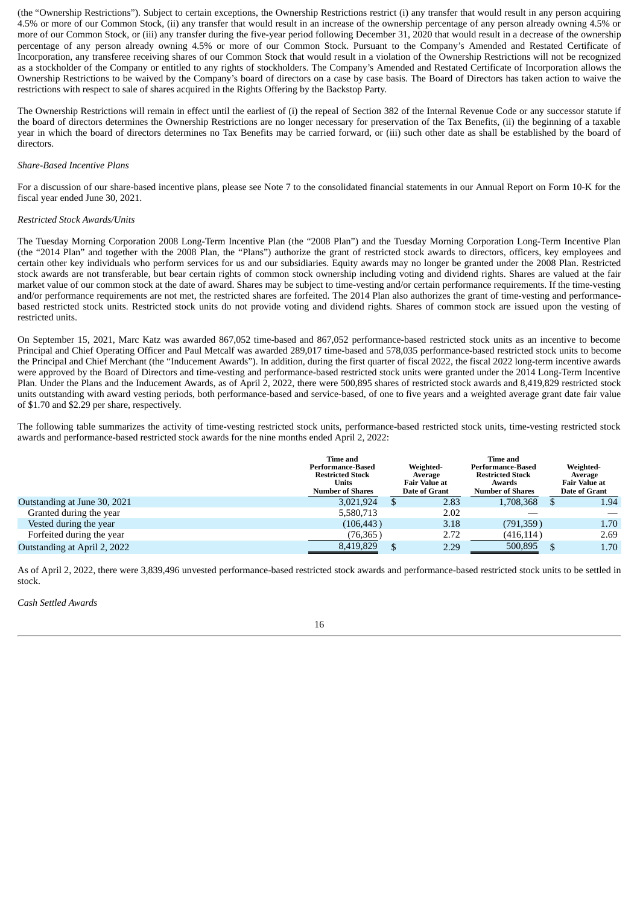(the "Ownership Restrictions"). Subject to certain exceptions, the Ownership Restrictions restrict (i) any transfer that would result in any person acquiring 4.5% or more of our Common Stock, (ii) any transfer that would result in an increase of the ownership percentage of any person already owning 4.5% or more of our Common Stock, or (iii) any transfer during the five-year period following December 31, 2020 that would result in a decrease of the ownership percentage of any person already owning 4.5% or more of our Common Stock. Pursuant to the Company's Amended and Restated Certificate of Incorporation, any transferee receiving shares of our Common Stock that would result in a violation of the Ownership Restrictions will not be recognized as a stockholder of the Company or entitled to any rights of stockholders. The Company's Amended and Restated Certificate of Incorporation allows the Ownership Restrictions to be waived by the Company's board of directors on a case by case basis. The Board of Directors has taken action to waive the restrictions with respect to sale of shares acquired in the Rights Offering by the Backstop Party.

The Ownership Restrictions will remain in effect until the earliest of (i) the repeal of Section 382 of the Internal Revenue Code or any successor statute if the board of directors determines the Ownership Restrictions are no longer necessary for preservation of the Tax Benefits, (ii) the beginning of a taxable year in which the board of directors determines no Tax Benefits may be carried forward, or (iii) such other date as shall be established by the board of directors.

#### *Share-Based Incentive Plans*

For a discussion of our share-based incentive plans, please see Note 7 to the consolidated financial statements in our Annual Report on Form 10-K for the fiscal year ended June 30, 2021.

### *Restricted Stock Awards/Units*

The Tuesday Morning Corporation 2008 Long-Term Incentive Plan (the "2008 Plan") and the Tuesday Morning Corporation Long-Term Incentive Plan (the "2014 Plan" and together with the 2008 Plan, the "Plans") authorize the grant of restricted stock awards to directors, officers, key employees and certain other key individuals who perform services for us and our subsidiaries. Equity awards may no longer be granted under the 2008 Plan. Restricted stock awards are not transferable, but bear certain rights of common stock ownership including voting and dividend rights. Shares are valued at the fair market value of our common stock at the date of award. Shares may be subject to time-vesting and/or certain performance requirements. If the time-vesting and/or performance requirements are not met, the restricted shares are forfeited. The 2014 Plan also authorizes the grant of time-vesting and performancebased restricted stock units. Restricted stock units do not provide voting and dividend rights. Shares of common stock are issued upon the vesting of restricted units.

On September 15, 2021, Marc Katz was awarded 867,052 time-based and 867,052 performance-based restricted stock units as an incentive to become Principal and Chief Operating Officer and Paul Metcalf was awarded 289,017 time-based and 578,035 performance-based restricted stock units to become the Principal and Chief Merchant (the "Inducement Awards"). In addition, during the first quarter of fiscal 2022, the fiscal 2022 long-term incentive awards were approved by the Board of Directors and time-vesting and performance-based restricted stock units were granted under the 2014 Long-Term Incentive Plan. Under the Plans and the Inducement Awards, as of April 2, 2022, there were 500,895 shares of restricted stock awards and 8,419,829 restricted stock units outstanding with award vesting periods, both performance-based and service-based, of one to five years and a weighted average grant date fair value of \$1.70 and \$2.29 per share, respectively.

The following table summarizes the activity of time-vesting restricted stock units, performance-based restricted stock units, time-vesting restricted stock awards and performance-based restricted stock awards for the nine months ended April 2, 2022:

|                              | <b>Time and</b><br><b>Performance-Based</b><br><b>Restricted Stock</b><br>Units<br><b>Number of Shares</b> | Weighted-<br>Average<br>Fair Value at<br><b>Date of Grant</b> | <b>Time and</b><br>Performance-Based<br><b>Restricted Stock</b><br>Awards<br><b>Number of Shares</b> |   | Weighted-<br>Average<br><b>Fair Value at</b><br>Date of Grant |
|------------------------------|------------------------------------------------------------------------------------------------------------|---------------------------------------------------------------|------------------------------------------------------------------------------------------------------|---|---------------------------------------------------------------|
| Outstanding at June 30, 2021 | 3,021,924                                                                                                  | 2.83                                                          | 1,708,368                                                                                            | S | 1.94                                                          |
| Granted during the year      | 5,580,713                                                                                                  | 2.02                                                          |                                                                                                      |   |                                                               |
| Vested during the year       | (106, 443)                                                                                                 | 3.18                                                          | (791, 359)                                                                                           |   | 1.70                                                          |
| Forfeited during the year    | (76, 365)                                                                                                  | 2.72                                                          | (416, 114)                                                                                           |   | 2.69                                                          |
| Outstanding at April 2, 2022 | 8,419,829                                                                                                  | 2.29                                                          | 500,895                                                                                              |   | $1.70^{+}$                                                    |

As of April 2, 2022, there were 3,839,496 unvested performance-based restricted stock awards and performance-based restricted stock units to be settled in stock.

*Cash Settled Awards*

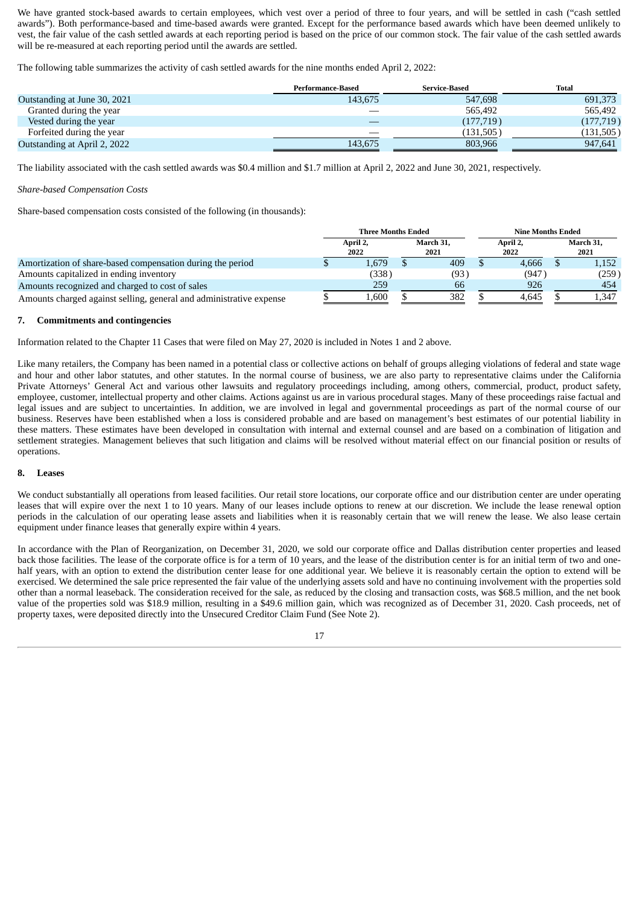We have granted stock-based awards to certain employees, which vest over a period of three to four years, and will be settled in cash ("cash settled awards"). Both performance-based and time-based awards were granted. Except for the performance based awards which have been deemed unlikely to vest, the fair value of the cash settled awards at each reporting period is based on the price of our common stock. The fair value of the cash settled awards will be re-measured at each reporting period until the awards are settled.

The following table summarizes the activity of cash settled awards for the nine months ended April 2, 2022:

|                              | <b>Performance-Based</b> | <b>Service-Based</b> | Total      |
|------------------------------|--------------------------|----------------------|------------|
| Outstanding at June 30, 2021 | 143.675                  | 547,698              | 691,373    |
| Granted during the year      |                          | 565,492              | 565.492    |
| Vested during the year       |                          | (177, 719)           | (177, 719) |
| Forfeited during the year    |                          | (131,505)            | (131,505)  |
| Outstanding at April 2, 2022 | 143,675                  | 803,966              | 947.641    |

The liability associated with the cash settled awards was \$0.4 million and \$1.7 million at April 2, 2022 and June 30, 2021, respectively.

# *Share-based Compensation Costs*

Share-based compensation costs consisted of the following (in thousands):

|                                                                     |  | <b>Three Months Ended</b><br><b>Nine Months Ended</b> |  |      |  |                   |  |                  |  |           |  |
|---------------------------------------------------------------------|--|-------------------------------------------------------|--|------|--|-------------------|--|------------------|--|-----------|--|
|                                                                     |  | April 2,<br>2022                                      |  |      |  | March 31,<br>2021 |  | April 2,<br>2022 |  | March 31, |  |
| Amortization of share-based compensation during the period          |  | 1.679                                                 |  | 409  |  | 4.666             |  | 1,152            |  |           |  |
| Amounts capitalized in ending inventory                             |  | (338)                                                 |  | (93) |  | (947)             |  | (259)            |  |           |  |
| Amounts recognized and charged to cost of sales                     |  | 259                                                   |  | 66   |  | 926               |  | 454              |  |           |  |
| Amounts charged against selling, general and administrative expense |  | 1,600                                                 |  | 382  |  | 4.645             |  | 1,347            |  |           |  |

### **7. Commitments and contingencies**

Information related to the Chapter 11 Cases that were filed on May 27, 2020 is included in Notes 1 and 2 above.

Like many retailers, the Company has been named in a potential class or collective actions on behalf of groups alleging violations of federal and state wage and hour and other labor statutes, and other statutes. In the normal course of business, we are also party to representative claims under the California Private Attorneys' General Act and various other lawsuits and regulatory proceedings including, among others, commercial, product, product safety, employee, customer, intellectual property and other claims. Actions against us are in various procedural stages. Many of these proceedings raise factual and legal issues and are subject to uncertainties. In addition, we are involved in legal and governmental proceedings as part of the normal course of our business. Reserves have been established when a loss is considered probable and are based on management's best estimates of our potential liability in these matters. These estimates have been developed in consultation with internal and external counsel and are based on a combination of litigation and settlement strategies. Management believes that such litigation and claims will be resolved without material effect on our financial position or results of operations.

#### **8. Leases**

We conduct substantially all operations from leased facilities. Our retail store locations, our corporate office and our distribution center are under operating leases that will expire over the next 1 to 10 years. Many of our leases include options to renew at our discretion. We include the lease renewal option periods in the calculation of our operating lease assets and liabilities when it is reasonably certain that we will renew the lease. We also lease certain equipment under finance leases that generally expire within 4 years.

In accordance with the Plan of Reorganization, on December 31, 2020, we sold our corporate office and Dallas distribution center properties and leased back those facilities. The lease of the corporate office is for a term of 10 years, and the lease of the distribution center is for an initial term of two and onehalf years, with an option to extend the distribution center lease for one additional year. We believe it is reasonably certain the option to extend will be exercised. We determined the sale price represented the fair value of the underlying assets sold and have no continuing involvement with the properties sold other than a normal leaseback. The consideration received for the sale, as reduced by the closing and transaction costs, was \$68.5 million, and the net book value of the properties sold was \$18.9 million, resulting in a \$49.6 million gain, which was recognized as of December 31, 2020. Cash proceeds, net of property taxes, were deposited directly into the Unsecured Creditor Claim Fund (See Note 2).

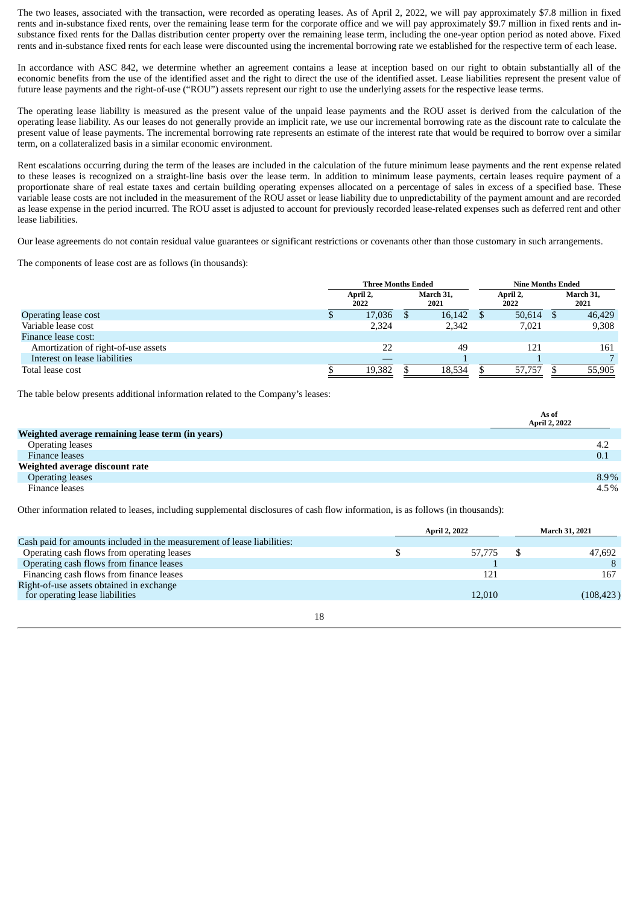The two leases, associated with the transaction, were recorded as operating leases. As of April 2, 2022, we will pay approximately \$7.8 million in fixed rents and in-substance fixed rents, over the remaining lease term for the corporate office and we will pay approximately \$9.7 million in fixed rents and insubstance fixed rents for the Dallas distribution center property over the remaining lease term, including the one-year option period as noted above. Fixed rents and in-substance fixed rents for each lease were discounted using the incremental borrowing rate we established for the respective term of each lease.

In accordance with ASC 842, we determine whether an agreement contains a lease at inception based on our right to obtain substantially all of the economic benefits from the use of the identified asset and the right to direct the use of the identified asset. Lease liabilities represent the present value of future lease payments and the right-of-use ("ROU") assets represent our right to use the underlying assets for the respective lease terms.

The operating lease liability is measured as the present value of the unpaid lease payments and the ROU asset is derived from the calculation of the operating lease liability. As our leases do not generally provide an implicit rate, we use our incremental borrowing rate as the discount rate to calculate the present value of lease payments. The incremental borrowing rate represents an estimate of the interest rate that would be required to borrow over a similar term, on a collateralized basis in a similar economic environment.

Rent escalations occurring during the term of the leases are included in the calculation of the future minimum lease payments and the rent expense related to these leases is recognized on a straight-line basis over the lease term. In addition to minimum lease payments, certain leases require payment of a proportionate share of real estate taxes and certain building operating expenses allocated on a percentage of sales in excess of a specified base. These variable lease costs are not included in the measurement of the ROU asset or lease liability due to unpredictability of the payment amount and are recorded as lease expense in the period incurred. The ROU asset is adjusted to account for previously recorded lease-related expenses such as deferred rent and other lease liabilities.

Our lease agreements do not contain residual value guarantees or significant restrictions or covenants other than those customary in such arrangements.

The components of lease cost are as follows (in thousands):

|                                     | <b>Three Months Ended</b> |        |                   |        | <b>Nine Months Ended</b> |        |  |                   |
|-------------------------------------|---------------------------|--------|-------------------|--------|--------------------------|--------|--|-------------------|
|                                     | April 2,<br>2022          |        | March 31,<br>2021 |        | April 2,<br>2022         |        |  | March 31,<br>2021 |
| Operating lease cost                |                           | 17,036 |                   | 16,142 |                          | 50,614 |  | 46,429            |
| Variable lease cost                 |                           | 2,324  |                   | 2,342  |                          | 7,021  |  | 9,308             |
| Finance lease cost:                 |                           |        |                   |        |                          |        |  |                   |
| Amortization of right-of-use assets |                           | 22     |                   | 49     |                          | 121    |  | 161               |
| Interest on lease liabilities       |                           |        |                   |        |                          |        |  |                   |
| Total lease cost                    |                           | 19.382 |                   | 18.534 |                          | 57,757 |  | 55,905            |

The table below presents additional information related to the Company's leases:

|                                                  | As of<br><b>April 2, 2022</b> |
|--------------------------------------------------|-------------------------------|
| Weighted average remaining lease term (in years) |                               |
| <b>Operating leases</b>                          | 4.2                           |
| Finance leases                                   | 0.1                           |
| Weighted average discount rate                   |                               |
| <b>Operating leases</b>                          | 8.9%                          |
| Finance leases                                   | $4.5\%$                       |

Other information related to leases, including supplemental disclosures of cash flow information, is as follows (in thousands):

|                                                                             | <b>April 2, 2022</b> | <b>March 31, 2021</b> |
|-----------------------------------------------------------------------------|----------------------|-----------------------|
| Cash paid for amounts included in the measurement of lease liabilities:     |                      |                       |
| Operating cash flows from operating leases                                  | 57.775               | 47.692                |
| Operating cash flows from finance leases                                    |                      | 8                     |
| Financing cash flows from finance leases                                    | 121                  | 167                   |
| Right-of-use assets obtained in exchange<br>for operating lease liabilities | 12,010               | (108, 423)            |
|                                                                             |                      |                       |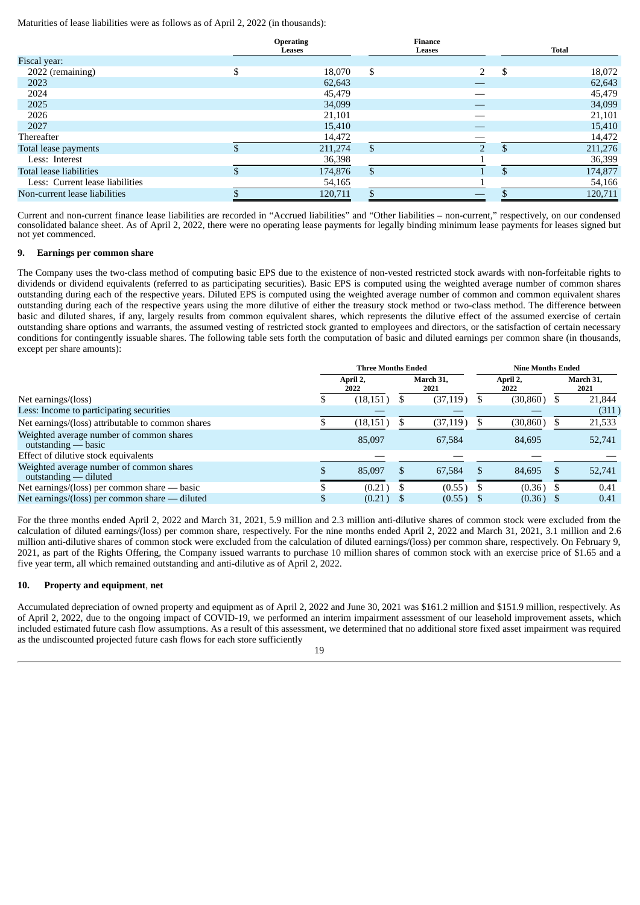Maturities of lease liabilities were as follows as of April 2, 2022 (in thousands):

|                                 |     | <b>Operating</b><br>Leases |                | <b>Finance</b><br>Leases | <b>Total</b>  |         |
|---------------------------------|-----|----------------------------|----------------|--------------------------|---------------|---------|
| Fiscal year:                    |     |                            |                |                          |               |         |
| 2022 (remaining)                | аĐ. | 18,070                     | \$             | 2                        | \$            | 18,072  |
| 2023                            |     | 62,643                     |                |                          |               | 62,643  |
| 2024                            |     | 45,479                     |                |                          |               | 45,479  |
| 2025                            |     | 34,099                     |                | __                       |               | 34,099  |
| 2026                            |     | 21,101                     |                |                          |               | 21,101  |
| 2027                            |     | 15,410                     |                |                          |               | 15,410  |
| Thereafter                      |     | 14,472                     |                | __                       |               | 14,472  |
| Total lease payments            |     | 211,274                    | \$             | $\overline{2}$           | \$            | 211,276 |
| Less: Interest                  |     | 36,398                     |                |                          |               | 36,399  |
| Total lease liabilities         |     | 174,876                    | $\mathfrak{S}$ |                          | \$<br>174,877 |         |
| Less: Current lease liabilities |     | 54,165                     |                |                          |               | 54,166  |
| Non-current lease liabilities   |     | 120,711                    |                |                          | 120,711       |         |

Current and non-current finance lease liabilities are recorded in "Accrued liabilities" and "Other liabilities – non-current," respectively, on our condensed consolidated balance sheet. As of April 2, 2022, there were no operating lease payments for legally binding minimum lease payments for leases signed but not yet commenced.

# **9. Earnings per common share**

The Company uses the two-class method of computing basic EPS due to the existence of non-vested restricted stock awards with non-forfeitable rights to dividends or dividend equivalents (referred to as participating securities). Basic EPS is computed using the weighted average number of common shares outstanding during each of the respective years. Diluted EPS is computed using the weighted average number of common and common equivalent shares outstanding during each of the respective years using the more dilutive of either the treasury stock method or two-class method. The difference between basic and diluted shares, if any, largely results from common equivalent shares, which represents the dilutive effect of the assumed exercise of certain outstanding share options and warrants, the assumed vesting of restricted stock granted to employees and directors, or the satisfaction of certain necessary conditions for contingently issuable shares. The following table sets forth the computation of basic and diluted earnings per common share (in thousands, except per share amounts):

|                                                                     | <b>Three Months Ended</b> |   |                   | <b>Nine Months Ended</b> |                  |     |                   |
|---------------------------------------------------------------------|---------------------------|---|-------------------|--------------------------|------------------|-----|-------------------|
|                                                                     | April 2,<br>2022          |   | March 31.<br>2021 |                          | April 2,<br>2022 |     | March 31.<br>2021 |
| Net earnings/(loss)                                                 | (18, 151)                 |   | (37, 119)         |                          | (30, 860)        |     | 21,844            |
| Less: Income to participating securities                            |                           |   |                   |                          |                  |     | (311)             |
| Net earnings/(loss) attributable to common shares                   | (18, 151)                 |   | (37, 119)         |                          | (30, 860)        |     | 21,533            |
| Weighted average number of common shares<br>outstanding — basic     | 85,097                    |   | 67.584            |                          | 84,695           |     | 52,741            |
| Effect of dilutive stock equivalents                                |                           |   |                   |                          |                  |     |                   |
| Weighted average number of common shares<br>$outstanding$ - diluted | 85,097                    | S | 67,584            | \$                       | 84,695           | - S | 52,741            |
| Net earnings/(loss) per common share $-$ basic                      | (0.21)                    |   | (0.55)            |                          | $(0.36)$ \$      |     | 0.41              |
| Net earnings/(loss) per common share $-$ diluted                    | (0.21)                    |   | (0.55)            |                          | $(0.36)$ \$      |     | 0.41              |

For the three months ended April 2, 2022 and March 31, 2021, 5.9 million and 2.3 million anti-dilutive shares of common stock were excluded from the calculation of diluted earnings/(loss) per common share, respectively. For the nine months ended April 2, 2022 and March 31, 2021, 3.1 million and 2.6 million anti-dilutive shares of common stock were excluded from the calculation of diluted earnings/(loss) per common share, respectively. On February 9, 2021, as part of the Rights Offering, the Company issued warrants to purchase 10 million shares of common stock with an exercise price of \$1.65 and a five year term, all which remained outstanding and anti-dilutive as of April 2, 2022.

# **10. Property and equipment**, **net**

Accumulated depreciation of owned property and equipment as of April 2, 2022 and June 30, 2021 was \$161.2 million and \$151.9 million, respectively. As of April 2, 2022, due to the ongoing impact of COVID-19, we performed an interim impairment assessment of our leasehold improvement assets, which included estimated future cash flow assumptions. As a result of this assessment, we determined that no additional store fixed asset impairment was required as the undiscounted projected future cash flows for each store sufficiently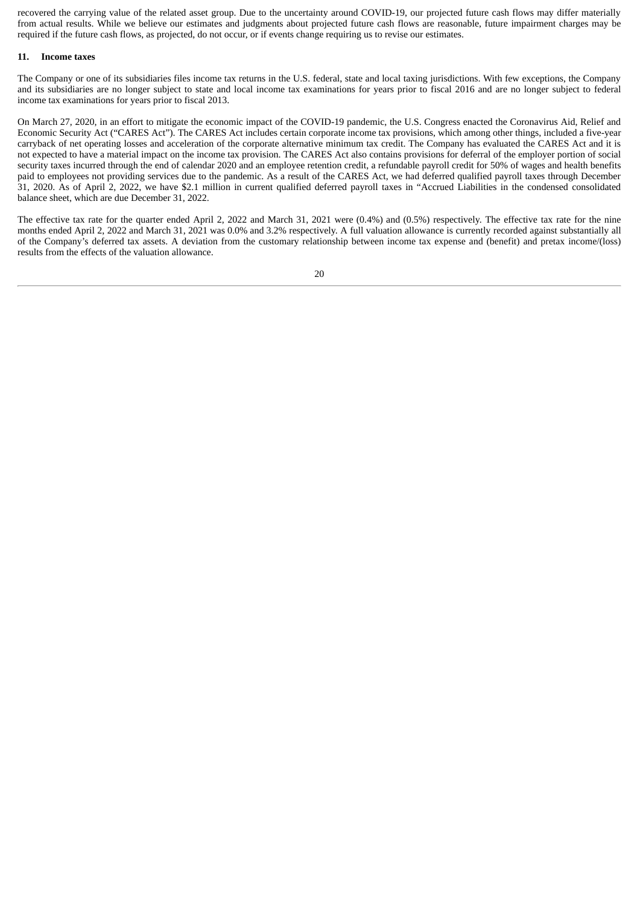recovered the carrying value of the related asset group. Due to the uncertainty around COVID-19, our projected future cash flows may differ materially from actual results. While we believe our estimates and judgments about projected future cash flows are reasonable, future impairment charges may be required if the future cash flows, as projected, do not occur, or if events change requiring us to revise our estimates.

#### **11. Income taxes**

The Company or one of its subsidiaries files income tax returns in the U.S. federal, state and local taxing jurisdictions. With few exceptions, the Company and its subsidiaries are no longer subject to state and local income tax examinations for years prior to fiscal 2016 and are no longer subject to federal income tax examinations for years prior to fiscal 2013.

On March 27, 2020, in an effort to mitigate the economic impact of the COVID-19 pandemic, the U.S. Congress enacted the Coronavirus Aid, Relief and Economic Security Act ("CARES Act"). The CARES Act includes certain corporate income tax provisions, which among other things, included a five-year carryback of net operating losses and acceleration of the corporate alternative minimum tax credit. The Company has evaluated the CARES Act and it is not expected to have a material impact on the income tax provision. The CARES Act also contains provisions for deferral of the employer portion of social security taxes incurred through the end of calendar 2020 and an employee retention credit, a refundable payroll credit for 50% of wages and health benefits paid to employees not providing services due to the pandemic. As a result of the CARES Act, we had deferred qualified payroll taxes through December 31, 2020. As of April 2, 2022, we have \$2.1 million in current qualified deferred payroll taxes in "Accrued Liabilities in the condensed consolidated balance sheet, which are due December 31, 2022.

The effective tax rate for the quarter ended April 2, 2022 and March 31, 2021 were (0.4%) and (0.5%) respectively. The effective tax rate for the nine months ended April 2, 2022 and March 31, 2021 was 0.0% and 3.2% respectively. A full valuation allowance is currently recorded against substantially all of the Company's deferred tax assets. A deviation from the customary relationship between income tax expense and (benefit) and pretax income/(loss) results from the effects of the valuation allowance.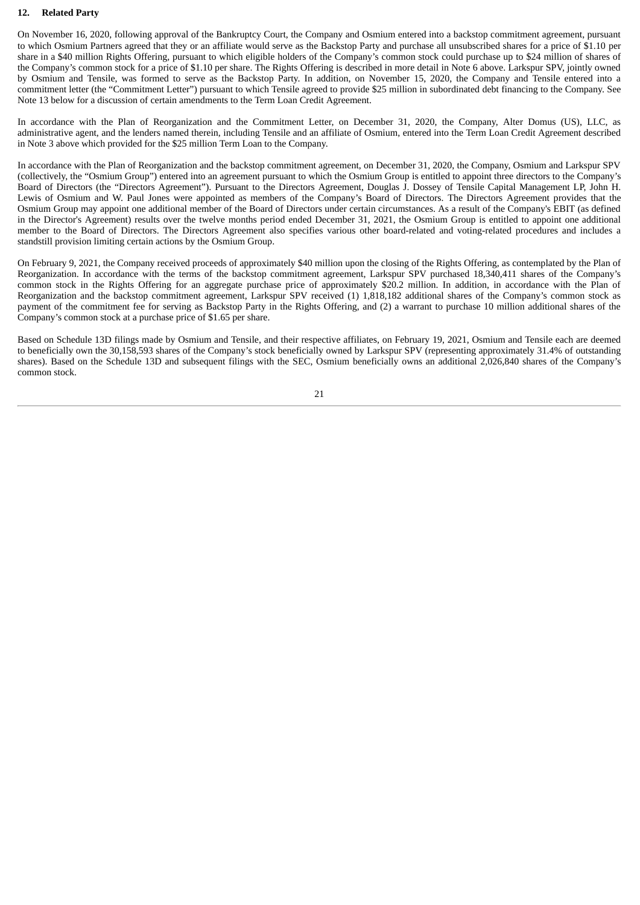#### **12. Related Party**

On November 16, 2020, following approval of the Bankruptcy Court, the Company and Osmium entered into a backstop commitment agreement, pursuant to which Osmium Partners agreed that they or an affiliate would serve as the Backstop Party and purchase all unsubscribed shares for a price of \$1.10 per share in a \$40 million Rights Offering, pursuant to which eligible holders of the Company's common stock could purchase up to \$24 million of shares of the Company's common stock for a price of \$1.10 per share. The Rights Offering is described in more detail in Note 6 above. Larkspur SPV, jointly owned by Osmium and Tensile, was formed to serve as the Backstop Party. In addition, on November 15, 2020, the Company and Tensile entered into a commitment letter (the "Commitment Letter") pursuant to which Tensile agreed to provide \$25 million in subordinated debt financing to the Company. See Note 13 below for a discussion of certain amendments to the Term Loan Credit Agreement.

In accordance with the Plan of Reorganization and the Commitment Letter, on December 31, 2020, the Company, Alter Domus (US), LLC, as administrative agent, and the lenders named therein, including Tensile and an affiliate of Osmium, entered into the Term Loan Credit Agreement described in Note 3 above which provided for the \$25 million Term Loan to the Company.

In accordance with the Plan of Reorganization and the backstop commitment agreement, on December 31, 2020, the Company, Osmium and Larkspur SPV (collectively, the "Osmium Group") entered into an agreement pursuant to which the Osmium Group is entitled to appoint three directors to the Company's Board of Directors (the "Directors Agreement"). Pursuant to the Directors Agreement, Douglas J. Dossey of Tensile Capital Management LP, John H. Lewis of Osmium and W. Paul Jones were appointed as members of the Company's Board of Directors. The Directors Agreement provides that the Osmium Group may appoint one additional member of the Board of Directors under certain circumstances. As a result of the Company's EBIT (as defined in the Director's Agreement) results over the twelve months period ended December 31, 2021, the Osmium Group is entitled to appoint one additional member to the Board of Directors. The Directors Agreement also specifies various other board-related and voting-related procedures and includes a standstill provision limiting certain actions by the Osmium Group.

On February 9, 2021, the Company received proceeds of approximately \$40 million upon the closing of the Rights Offering, as contemplated by the Plan of Reorganization. In accordance with the terms of the backstop commitment agreement, Larkspur SPV purchased 18,340,411 shares of the Company's common stock in the Rights Offering for an aggregate purchase price of approximately \$20.2 million. In addition, in accordance with the Plan of Reorganization and the backstop commitment agreement, Larkspur SPV received (1) 1,818,182 additional shares of the Company's common stock as payment of the commitment fee for serving as Backstop Party in the Rights Offering, and (2) a warrant to purchase 10 million additional shares of the Company's common stock at a purchase price of \$1.65 per share.

Based on Schedule 13D filings made by Osmium and Tensile, and their respective affiliates, on February 19, 2021, Osmium and Tensile each are deemed to beneficially own the 30,158,593 shares of the Company's stock beneficially owned by Larkspur SPV (representing approximately 31.4% of outstanding shares). Based on the Schedule 13D and subsequent filings with the SEC, Osmium beneficially owns an additional 2,026,840 shares of the Company's common stock.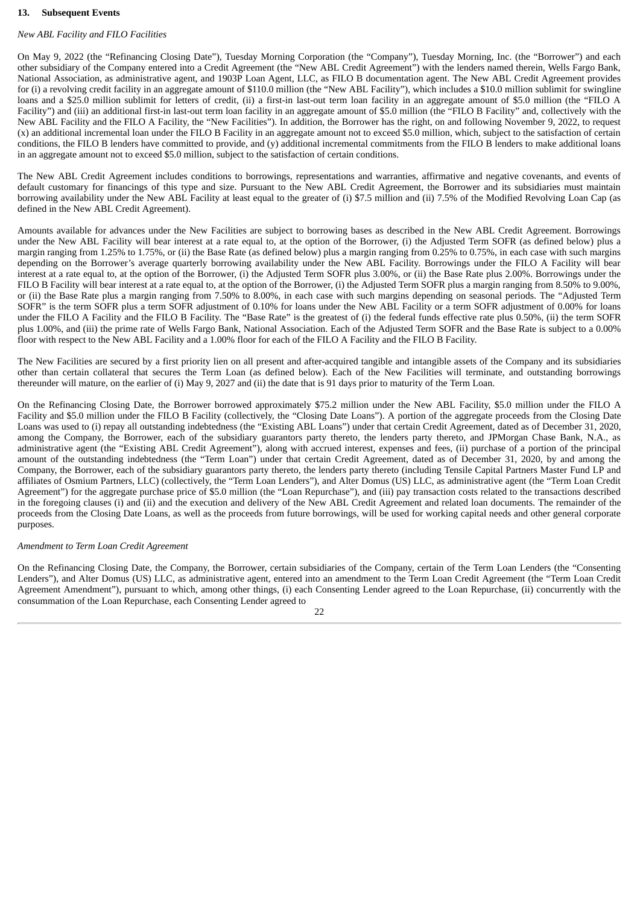#### **13. Subsequent Events**

# *New ABL Facility and FILO Facilities*

On May 9, 2022 (the "Refinancing Closing Date"), Tuesday Morning Corporation (the "Company"), Tuesday Morning, Inc. (the "Borrower") and each other subsidiary of the Company entered into a Credit Agreement (the "New ABL Credit Agreement") with the lenders named therein, Wells Fargo Bank, National Association, as administrative agent, and 1903P Loan Agent, LLC, as FILO B documentation agent. The New ABL Credit Agreement provides for (i) a revolving credit facility in an aggregate amount of \$110.0 million (the "New ABL Facility"), which includes a \$10.0 million sublimit for swingline loans and a \$25.0 million sublimit for letters of credit, (ii) a first-in last-out term loan facility in an aggregate amount of \$5.0 million (the "FILO A Facility") and (iii) an additional first-in last-out term loan facility in an aggregate amount of \$5.0 million (the "FILO B Facility" and, collectively with the New ABL Facility and the FILO A Facility, the "New Facilities"). In addition, the Borrower has the right, on and following November 9, 2022, to request (x) an additional incremental loan under the FILO B Facility in an aggregate amount not to exceed \$5.0 million, which, subject to the satisfaction of certain conditions, the FILO B lenders have committed to provide, and (y) additional incremental commitments from the FILO B lenders to make additional loans in an aggregate amount not to exceed \$5.0 million, subject to the satisfaction of certain conditions.

The New ABL Credit Agreement includes conditions to borrowings, representations and warranties, affirmative and negative covenants, and events of default customary for financings of this type and size. Pursuant to the New ABL Credit Agreement, the Borrower and its subsidiaries must maintain borrowing availability under the New ABL Facility at least equal to the greater of (i) \$7.5 million and (ii) 7.5% of the Modified Revolving Loan Cap (as defined in the New ABL Credit Agreement).

Amounts available for advances under the New Facilities are subject to borrowing bases as described in the New ABL Credit Agreement. Borrowings under the New ABL Facility will bear interest at a rate equal to, at the option of the Borrower, (i) the Adjusted Term SOFR (as defined below) plus a margin ranging from 1.25% to 1.75%, or (ii) the Base Rate (as defined below) plus a margin ranging from 0.25% to 0.75%, in each case with such margins depending on the Borrower's average quarterly borrowing availability under the New ABL Facility. Borrowings under the FILO A Facility will bear interest at a rate equal to, at the option of the Borrower, (i) the Adjusted Term SOFR plus 3.00%, or (ii) the Base Rate plus 2.00%. Borrowings under the FILO B Facility will bear interest at a rate equal to, at the option of the Borrower, (i) the Adjusted Term SOFR plus a margin ranging from 8.50% to 9.00%, or (ii) the Base Rate plus a margin ranging from 7.50% to 8.00%, in each case with such margins depending on seasonal periods. The "Adjusted Term SOFR" is the term SOFR plus a term SOFR adjustment of 0.10% for loans under the New ABL Facility or a term SOFR adjustment of 0.00% for loans under the FILO A Facility and the FILO B Facility. The "Base Rate" is the greatest of (i) the federal funds effective rate plus 0.50%, (ii) the term SOFR plus 1.00%, and (iii) the prime rate of Wells Fargo Bank, National Association. Each of the Adjusted Term SOFR and the Base Rate is subject to a 0.00% floor with respect to the New ABL Facility and a 1.00% floor for each of the FILO A Facility and the FILO B Facility.

The New Facilities are secured by a first priority lien on all present and after-acquired tangible and intangible assets of the Company and its subsidiaries other than certain collateral that secures the Term Loan (as defined below). Each of the New Facilities will terminate, and outstanding borrowings thereunder will mature, on the earlier of (i) May 9, 2027 and (ii) the date that is 91 days prior to maturity of the Term Loan.

On the Refinancing Closing Date, the Borrower borrowed approximately \$75.2 million under the New ABL Facility, \$5.0 million under the FILO A Facility and \$5.0 million under the FILO B Facility (collectively, the "Closing Date Loans"). A portion of the aggregate proceeds from the Closing Date Loans was used to (i) repay all outstanding indebtedness (the "Existing ABL Loans") under that certain Credit Agreement, dated as of December 31, 2020, among the Company, the Borrower, each of the subsidiary guarantors party thereto, the lenders party thereto, and JPMorgan Chase Bank, N.A., as administrative agent (the "Existing ABL Credit Agreement"), along with accrued interest, expenses and fees, (ii) purchase of a portion of the principal amount of the outstanding indebtedness (the "Term Loan") under that certain Credit Agreement, dated as of December 31, 2020, by and among the Company, the Borrower, each of the subsidiary guarantors party thereto, the lenders party thereto (including Tensile Capital Partners Master Fund LP and affiliates of Osmium Partners, LLC) (collectively, the "Term Loan Lenders"), and Alter Domus (US) LLC, as administrative agent (the "Term Loan Credit Agreement") for the aggregate purchase price of \$5.0 million (the "Loan Repurchase"), and (iii) pay transaction costs related to the transactions described in the foregoing clauses (i) and (ii) and the execution and delivery of the New ABL Credit Agreement and related loan documents. The remainder of the proceeds from the Closing Date Loans, as well as the proceeds from future borrowings, will be used for working capital needs and other general corporate purposes.

#### *Amendment to Term Loan Credit Agreement*

On the Refinancing Closing Date, the Company, the Borrower, certain subsidiaries of the Company, certain of the Term Loan Lenders (the "Consenting Lenders"), and Alter Domus (US) LLC, as administrative agent, entered into an amendment to the Term Loan Credit Agreement (the "Term Loan Credit Agreement Amendment"), pursuant to which, among other things, (i) each Consenting Lender agreed to the Loan Repurchase, (ii) concurrently with the consummation of the Loan Repurchase, each Consenting Lender agreed to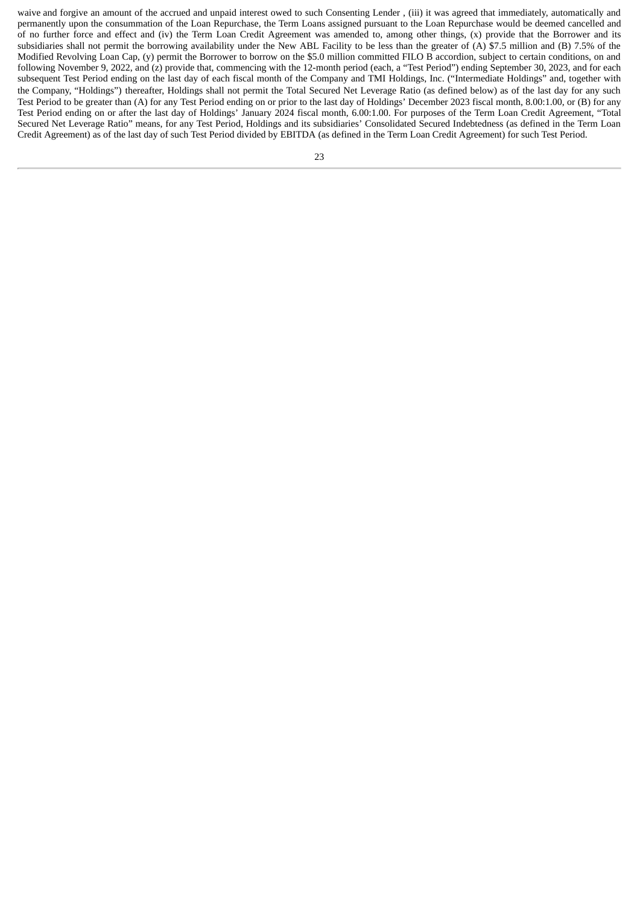waive and forgive an amount of the accrued and unpaid interest owed to such Consenting Lender , (iii) it was agreed that immediately, automatically and permanently upon the consummation of the Loan Repurchase, the Term Loans assigned pursuant to the Loan Repurchase would be deemed cancelled and of no further force and effect and (iv) the Term Loan Credit Agreement was amended to, among other things, (x) provide that the Borrower and its subsidiaries shall not permit the borrowing availability under the New ABL Facility to be less than the greater of (A) \$7.5 million and (B) 7.5% of the Modified Revolving Loan Cap, (y) permit the Borrower to borrow on the \$5.0 million committed FILO B accordion, subject to certain conditions, on and following November 9, 2022, and (z) provide that, commencing with the 12-month period (each, a "Test Period") ending September 30, 2023, and for each subsequent Test Period ending on the last day of each fiscal month of the Company and TMI Holdings, Inc. ("Intermediate Holdings" and, together with the Company, "Holdings") thereafter, Holdings shall not permit the Total Secured Net Leverage Ratio (as defined below) as of the last day for any such Test Period to be greater than (A) for any Test Period ending on or prior to the last day of Holdings' December 2023 fiscal month, 8.00:1.00, or (B) for any Test Period ending on or after the last day of Holdings' January 2024 fiscal month, 6.00:1.00. For purposes of the Term Loan Credit Agreement, "Total Secured Net Leverage Ratio" means, for any Test Period, Holdings and its subsidiaries' Consolidated Secured Indebtedness (as defined in the Term Loan Credit Agreement) as of the last day of such Test Period divided by EBITDA (as defined in the Term Loan Credit Agreement) for such Test Period.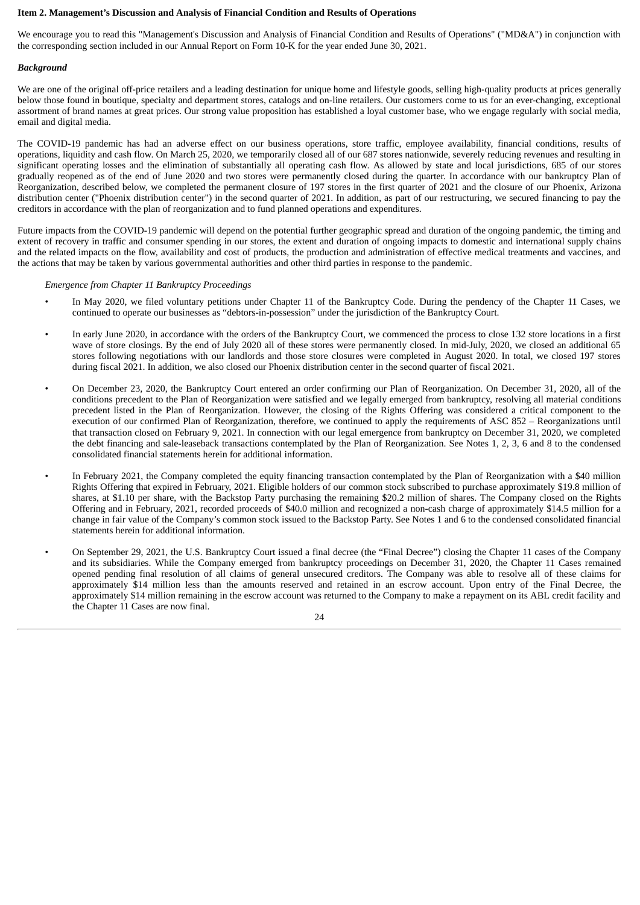# <span id="page-23-0"></span>**Item 2. Management's Discussion and Analysis of Financial Condition and Results of Operations**

We encourage you to read this "Management's Discussion and Analysis of Financial Condition and Results of Operations" ("MD&A") in conjunction with the corresponding section included in our Annual Report on Form 10-K for the year ended June 30, 2021.

#### *Background*

We are one of the original off-price retailers and a leading destination for unique home and lifestyle goods, selling high-quality products at prices generally below those found in boutique, specialty and department stores, catalogs and on-line retailers. Our customers come to us for an ever-changing, exceptional assortment of brand names at great prices. Our strong value proposition has established a loyal customer base, who we engage regularly with social media, email and digital media.

The COVID-19 pandemic has had an adverse effect on our business operations, store traffic, employee availability, financial conditions, results of operations, liquidity and cash flow. On March 25, 2020, we temporarily closed all of our 687 stores nationwide, severely reducing revenues and resulting in significant operating losses and the elimination of substantially all operating cash flow. As allowed by state and local jurisdictions, 685 of our stores gradually reopened as of the end of June 2020 and two stores were permanently closed during the quarter. In accordance with our bankruptcy Plan of Reorganization, described below, we completed the permanent closure of 197 stores in the first quarter of 2021 and the closure of our Phoenix, Arizona distribution center ("Phoenix distribution center") in the second quarter of 2021. In addition, as part of our restructuring, we secured financing to pay the creditors in accordance with the plan of reorganization and to fund planned operations and expenditures.

Future impacts from the COVID-19 pandemic will depend on the potential further geographic spread and duration of the ongoing pandemic, the timing and extent of recovery in traffic and consumer spending in our stores, the extent and duration of ongoing impacts to domestic and international supply chains and the related impacts on the flow, availability and cost of products, the production and administration of effective medical treatments and vaccines, and the actions that may be taken by various governmental authorities and other third parties in response to the pandemic.

### *Emergence from Chapter 11 Bankruptcy Proceedings*

- In May 2020, we filed voluntary petitions under Chapter 11 of the Bankruptcy Code. During the pendency of the Chapter 11 Cases, we continued to operate our businesses as "debtors-in-possession" under the jurisdiction of the Bankruptcy Court.
- In early June 2020, in accordance with the orders of the Bankruptcy Court, we commenced the process to close 132 store locations in a first wave of store closings. By the end of July 2020 all of these stores were permanently closed. In mid-July, 2020, we closed an additional 65 stores following negotiations with our landlords and those store closures were completed in August 2020. In total, we closed 197 stores during fiscal 2021. In addition, we also closed our Phoenix distribution center in the second quarter of fiscal 2021.
- On December 23, 2020, the Bankruptcy Court entered an order confirming our Plan of Reorganization. On December 31, 2020, all of the conditions precedent to the Plan of Reorganization were satisfied and we legally emerged from bankruptcy, resolving all material conditions precedent listed in the Plan of Reorganization. However, the closing of the Rights Offering was considered a critical component to the execution of our confirmed Plan of Reorganization, therefore, we continued to apply the requirements of ASC 852 – Reorganizations until that transaction closed on February 9, 2021. In connection with our legal emergence from bankruptcy on December 31, 2020, we completed the debt financing and sale-leaseback transactions contemplated by the Plan of Reorganization. See Notes 1, 2, 3, 6 and 8 to the condensed consolidated financial statements herein for additional information.
- In February 2021, the Company completed the equity financing transaction contemplated by the Plan of Reorganization with a \$40 million Rights Offering that expired in February, 2021. Eligible holders of our common stock subscribed to purchase approximately \$19.8 million of shares, at \$1.10 per share, with the Backstop Party purchasing the remaining \$20.2 million of shares. The Company closed on the Rights Offering and in February, 2021, recorded proceeds of \$40.0 million and recognized a non-cash charge of approximately \$14.5 million for a change in fair value of the Company's common stock issued to the Backstop Party. See Notes 1 and 6 to the condensed consolidated financial statements herein for additional information.
- On September 29, 2021, the U.S. Bankruptcy Court issued a final decree (the "Final Decree") closing the Chapter 11 cases of the Company and its subsidiaries. While the Company emerged from bankruptcy proceedings on December 31, 2020, the Chapter 11 Cases remained opened pending final resolution of all claims of general unsecured creditors. The Company was able to resolve all of these claims for approximately \$14 million less than the amounts reserved and retained in an escrow account. Upon entry of the Final Decree, the approximately \$14 million remaining in the escrow account was returned to the Company to make a repayment on its ABL credit facility and the Chapter 11 Cases are now final.

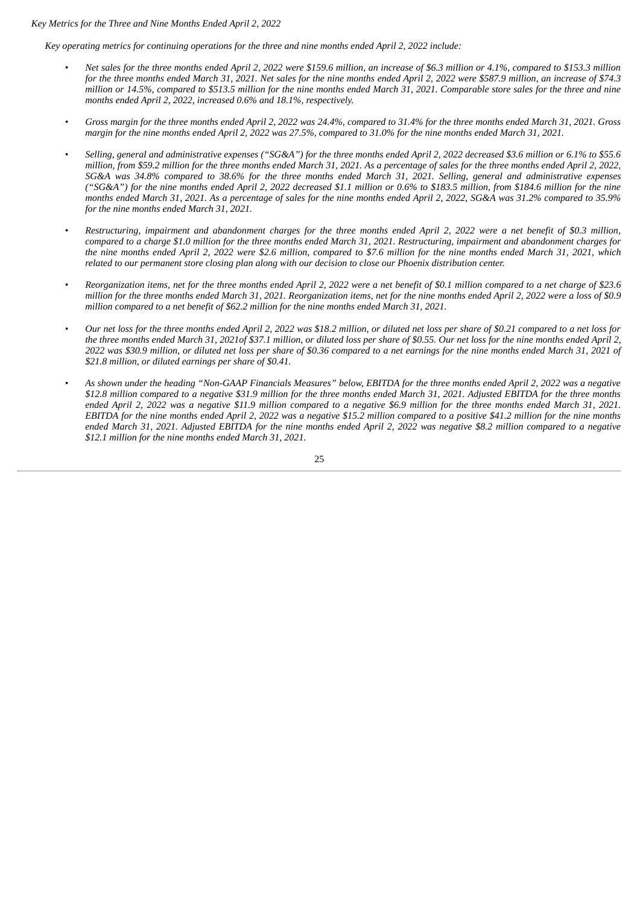#### *Key Metrics for the Three and Nine Months Ended April 2, 2022*

Key operating metrics for continuing operations for the three and nine months ended April 2, 2022 include:

- Net sales for the three months ended April 2, 2022 were \$159.6 million, an increase of \$6.3 million or 4.1%, compared to \$153.3 million for the three months ended March 31, 2021. Net sales for the nine months ended April 2, 2022 were \$587.9 million, an increase of \$74.3 million or 14.5%, compared to \$513.5 million for the nine months ended March 31, 2021. Comparable store sales for the three and nine *months ended April 2, 2022, increased 0.6% and 18.1%, respectively.*
- Gross margin for the three months ended April 2, 2022 was 24.4%, compared to 31.4% for the three months ended March 31, 2021. Gross margin for the nine months ended April 2, 2022 was 27.5%, compared to 31.0% for the nine months ended March 31, 2021.
- Selling, general and administrative expenses ("SG&A") for the three months ended April 2, 2022 decreased \$3.6 million or 6.1% to \$55.6 million, from \$59.2 million for the three months ended March 31, 2021. As a percentage of sales for the three months ended April 2, 2022, SG&A was 34.8% compared to 38.6% for the three months ended March 31, 2021. Selling, general and administrative expenses ("SG&A") for the nine months ended April 2, 2022 decreased \$1.1 million or 0.6% to \$183.5 million, from \$184.6 million for the nine months ended March 31, 2021. As a percentage of sales for the nine months ended April 2, 2022, SG&A was 31.2% compared to 35.9% *for the nine months ended March 31, 2021.*
- Restructuring, impairment and abandonment charges for the three months ended April 2, 2022 were a net benefit of \$0.3 million, compared to a charge \$1.0 million for the three months ended March 31, 2021. Restructuring, impairment and abandonment charges for the nine months ended April 2, 2022 were \$2.6 million, compared to \$7.6 million for the nine months ended March 31, 2021, which related to our permanent store closing plan along with our decision to close our Phoenix distribution center.
- Reorganization items, net for the three months ended April 2, 2022 were a net benefit of \$0.1 million compared to a net charge of \$23.6 million for the three months ended March 31, 2021. Reorganization items, net for the nine months ended April 2, 2022 were a loss of \$0.9 *million compared to a net benefit of \$62.2 million for the nine months ended March 31, 2021.*
- Our net loss for the three months ended April 2, 2022 was \$18.2 million, or diluted net loss per share of \$0.21 compared to a net loss for the three months ended March 31, 2021 of \$37.1 million, or diluted loss per share of \$0.55. Our net loss for the nine months ended April 2, 2022 was \$30.9 million, or diluted net loss per share of \$0.36 compared to a net earnings for the nine months ended March 31, 2021 of *\$21.8 million, or diluted earnings per share of \$0.41.*
- As shown under the heading "Non-GAAP Financials Measures" below, EBITDA for the three months ended April 2, 2022 was a negative \$12.8 million compared to a negative \$31.9 million for the three months ended March 31, 2021. Adjusted EBITDA for the three months ended April 2, 2022 was a negative \$11.9 million compared to a negative \$6.9 million for the three months ended March 31, 2021. EBITDA for the nine months ended April 2, 2022 was a negative \$15.2 million compared to a positive \$41.2 million for the nine months ended March 31, 2021. Adjusted EBITDA for the nine months ended April 2, 2022 was negative \$8.2 million compared to a negative *\$12.1 million for the nine months ended March 31, 2021.*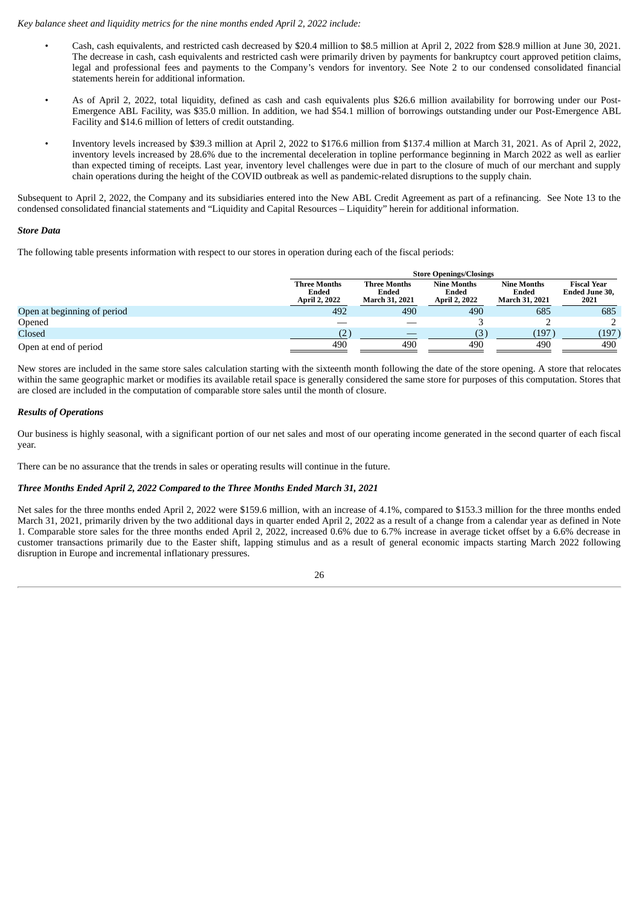*Key balance sheet and liquidity metrics for the nine months ended April 2, 2022 include:*

- Cash, cash equivalents, and restricted cash decreased by \$20.4 million to \$8.5 million at April 2, 2022 from \$28.9 million at June 30, 2021. The decrease in cash, cash equivalents and restricted cash were primarily driven by payments for bankruptcy court approved petition claims, legal and professional fees and payments to the Company's vendors for inventory. See Note 2 to our condensed consolidated financial statements herein for additional information.
- As of April 2, 2022, total liquidity, defined as cash and cash equivalents plus \$26.6 million availability for borrowing under our Post-Emergence ABL Facility, was \$35.0 million. In addition, we had \$54.1 million of borrowings outstanding under our Post-Emergence ABL Facility and \$14.6 million of letters of credit outstanding.
- Inventory levels increased by \$39.3 million at April 2, 2022 to \$176.6 million from \$137.4 million at March 31, 2021. As of April 2, 2022, inventory levels increased by 28.6% due to the incremental deceleration in topline performance beginning in March 2022 as well as earlier than expected timing of receipts. Last year, inventory level challenges were due in part to the closure of much of our merchant and supply chain operations during the height of the COVID outbreak as well as pandemic-related disruptions to the supply chain.

Subsequent to April 2, 2022, the Company and its subsidiaries entered into the New ABL Credit Agreement as part of a refinancing. See Note 13 to the condensed consolidated financial statements and "Liquidity and Capital Resources – Liquidity" herein for additional information.

## *Store Data*

The following table presents information with respect to our stores in operation during each of the fiscal periods:

|                             | <b>Store Openings/Closings</b>                              |                                                       |                                                            |                                               |                                              |  |  |  |
|-----------------------------|-------------------------------------------------------------|-------------------------------------------------------|------------------------------------------------------------|-----------------------------------------------|----------------------------------------------|--|--|--|
|                             | <b>Three Months</b><br><b>Ended</b><br><b>April 2, 2022</b> | <b>Three Months</b><br><b>Ended</b><br>March 31, 2021 | <b>Nine Months</b><br><b>Ended</b><br><b>April 2, 2022</b> | <b>Nine Months</b><br>Ended<br>March 31, 2021 | <b>Fiscal Year</b><br>Ended June 30,<br>2021 |  |  |  |
| Open at beginning of period | 492                                                         | 490                                                   | 490                                                        | 685                                           | 685                                          |  |  |  |
| Opened                      | __                                                          |                                                       |                                                            |                                               |                                              |  |  |  |
| Closed                      | (2                                                          |                                                       |                                                            | (197                                          | (197)                                        |  |  |  |
| Open at end of period       | 490                                                         | 490                                                   | 490                                                        | 490                                           | 490                                          |  |  |  |

New stores are included in the same store sales calculation starting with the sixteenth month following the date of the store opening. A store that relocates within the same geographic market or modifies its available retail space is generally considered the same store for purposes of this computation. Stores that are closed are included in the computation of comparable store sales until the month of closure.

# *Results of Operations*

Our business is highly seasonal, with a significant portion of our net sales and most of our operating income generated in the second quarter of each fiscal year.

There can be no assurance that the trends in sales or operating results will continue in the future.

# *Three Months Ended April 2, 2022 Compared to the Three Months Ended March 31, 2021*

Net sales for the three months ended April 2, 2022 were \$159.6 million, with an increase of 4.1%, compared to \$153.3 million for the three months ended March 31, 2021, primarily driven by the two additional days in quarter ended April 2, 2022 as a result of a change from a calendar year as defined in Note 1. Comparable store sales for the three months ended April 2, 2022, increased 0.6% due to 6.7% increase in average ticket offset by a 6.6% decrease in customer transactions primarily due to the Easter shift, lapping stimulus and as a result of general economic impacts starting March 2022 following disruption in Europe and incremental inflationary pressures.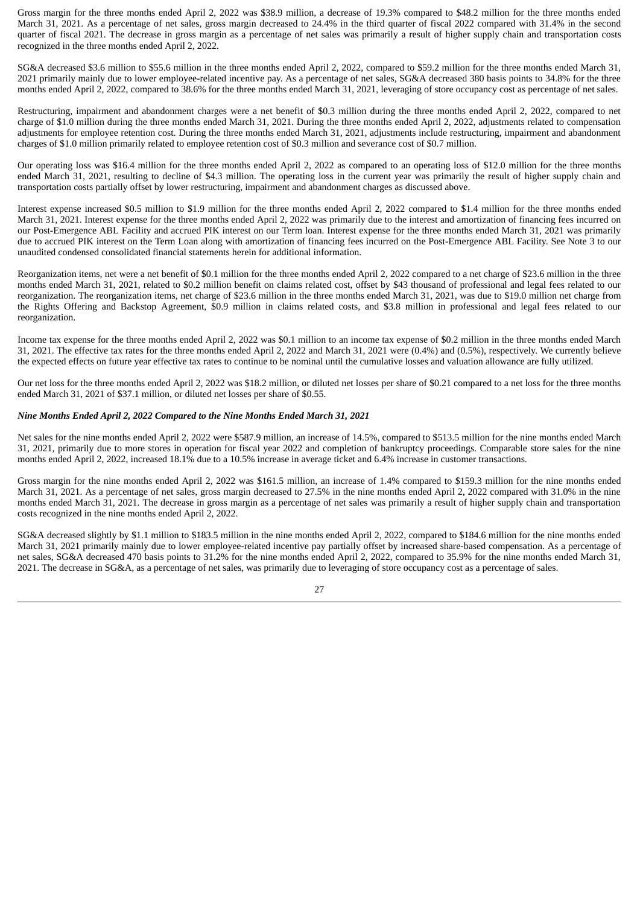Gross margin for the three months ended April 2, 2022 was \$38.9 million, a decrease of 19.3% compared to \$48.2 million for the three months ended March 31, 2021. As a percentage of net sales, gross margin decreased to 24.4% in the third quarter of fiscal 2022 compared with 31.4% in the second quarter of fiscal 2021. The decrease in gross margin as a percentage of net sales was primarily a result of higher supply chain and transportation costs recognized in the three months ended April 2, 2022.

SG&A decreased \$3.6 million to \$55.6 million in the three months ended April 2, 2022, compared to \$59.2 million for the three months ended March 31, 2021 primarily mainly due to lower employee-related incentive pay. As a percentage of net sales, SG&A decreased 380 basis points to 34.8% for the three months ended April 2, 2022, compared to 38.6% for the three months ended March 31, 2021, leveraging of store occupancy cost as percentage of net sales.

Restructuring, impairment and abandonment charges were a net benefit of \$0.3 million during the three months ended April 2, 2022, compared to net charge of \$1.0 million during the three months ended March 31, 2021. During the three months ended April 2, 2022, adjustments related to compensation adjustments for employee retention cost. During the three months ended March 31, 2021, adjustments include restructuring, impairment and abandonment charges of \$1.0 million primarily related to employee retention cost of \$0.3 million and severance cost of \$0.7 million.

Our operating loss was \$16.4 million for the three months ended April 2, 2022 as compared to an operating loss of \$12.0 million for the three months ended March 31, 2021, resulting to decline of \$4.3 million. The operating loss in the current year was primarily the result of higher supply chain and transportation costs partially offset by lower restructuring, impairment and abandonment charges as discussed above.

Interest expense increased \$0.5 million to \$1.9 million for the three months ended April 2, 2022 compared to \$1.4 million for the three months ended March 31, 2021. Interest expense for the three months ended April 2, 2022 was primarily due to the interest and amortization of financing fees incurred on our Post-Emergence ABL Facility and accrued PIK interest on our Term loan. Interest expense for the three months ended March 31, 2021 was primarily due to accrued PIK interest on the Term Loan along with amortization of financing fees incurred on the Post-Emergence ABL Facility. See Note 3 to our unaudited condensed consolidated financial statements herein for additional information.

Reorganization items, net were a net benefit of \$0.1 million for the three months ended April 2, 2022 compared to a net charge of \$23.6 million in the three months ended March 31, 2021, related to \$0.2 million benefit on claims related cost, offset by \$43 thousand of professional and legal fees related to our reorganization. The reorganization items, net charge of \$23.6 million in the three months ended March 31, 2021, was due to \$19.0 million net charge from the Rights Offering and Backstop Agreement, \$0.9 million in claims related costs, and \$3.8 million in professional and legal fees related to our reorganization.

Income tax expense for the three months ended April 2, 2022 was \$0.1 million to an income tax expense of \$0.2 million in the three months ended March 31, 2021. The effective tax rates for the three months ended April 2, 2022 and March 31, 2021 were (0.4%) and (0.5%), respectively. We currently believe the expected effects on future year effective tax rates to continue to be nominal until the cumulative losses and valuation allowance are fully utilized.

Our net loss for the three months ended April 2, 2022 was \$18.2 million, or diluted net losses per share of \$0.21 compared to a net loss for the three months ended March 31, 2021 of \$37.1 million, or diluted net losses per share of \$0.55.

# *Nine Months Ended April 2, 2022 Compared to the Nine Months Ended March 31, 2021*

Net sales for the nine months ended April 2, 2022 were \$587.9 million, an increase of 14.5%, compared to \$513.5 million for the nine months ended March 31, 2021, primarily due to more stores in operation for fiscal year 2022 and completion of bankruptcy proceedings. Comparable store sales for the nine months ended April 2, 2022, increased 18.1% due to a 10.5% increase in average ticket and 6.4% increase in customer transactions.

Gross margin for the nine months ended April 2, 2022 was \$161.5 million, an increase of 1.4% compared to \$159.3 million for the nine months ended March 31, 2021. As a percentage of net sales, gross margin decreased to 27.5% in the nine months ended April 2, 2022 compared with 31.0% in the nine months ended March 31, 2021. The decrease in gross margin as a percentage of net sales was primarily a result of higher supply chain and transportation costs recognized in the nine months ended April 2, 2022.

SG&A decreased slightly by \$1.1 million to \$183.5 million in the nine months ended April 2, 2022, compared to \$184.6 million for the nine months ended March 31, 2021 primarily mainly due to lower employee-related incentive pay partially offset by increased share-based compensation. As a percentage of net sales, SG&A decreased 470 basis points to 31.2% for the nine months ended April 2, 2022, compared to 35.9% for the nine months ended March 31, 2021. The decrease in SG&A, as a percentage of net sales, was primarily due to leveraging of store occupancy cost as a percentage of sales.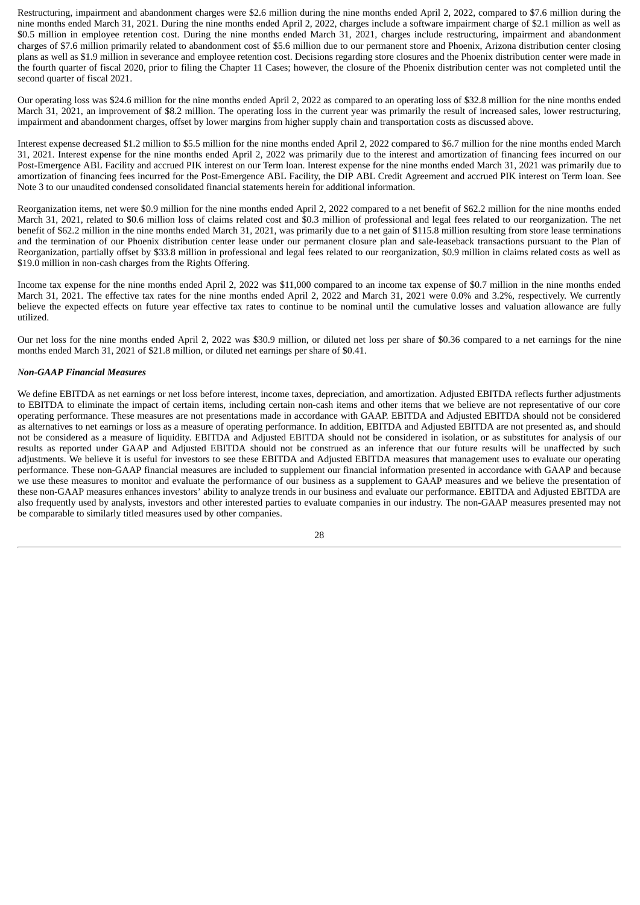Restructuring, impairment and abandonment charges were \$2.6 million during the nine months ended April 2, 2022, compared to \$7.6 million during the nine months ended March 31, 2021. During the nine months ended April 2, 2022, charges include a software impairment charge of \$2.1 million as well as \$0.5 million in employee retention cost. During the nine months ended March 31, 2021, charges include restructuring, impairment and abandonment charges of \$7.6 million primarily related to abandonment cost of \$5.6 million due to our permanent store and Phoenix, Arizona distribution center closing plans as well as \$1.9 million in severance and employee retention cost. Decisions regarding store closures and the Phoenix distribution center were made in the fourth quarter of fiscal 2020, prior to filing the Chapter 11 Cases; however, the closure of the Phoenix distribution center was not completed until the second quarter of fiscal 2021.

Our operating loss was \$24.6 million for the nine months ended April 2, 2022 as compared to an operating loss of \$32.8 million for the nine months ended March 31, 2021, an improvement of \$8.2 million. The operating loss in the current year was primarily the result of increased sales, lower restructuring, impairment and abandonment charges, offset by lower margins from higher supply chain and transportation costs as discussed above.

Interest expense decreased \$1.2 million to \$5.5 million for the nine months ended April 2, 2022 compared to \$6.7 million for the nine months ended March 31, 2021. Interest expense for the nine months ended April 2, 2022 was primarily due to the interest and amortization of financing fees incurred on our Post-Emergence ABL Facility and accrued PIK interest on our Term loan. Interest expense for the nine months ended March 31, 2021 was primarily due to amortization of financing fees incurred for the Post-Emergence ABL Facility, the DIP ABL Credit Agreement and accrued PIK interest on Term loan. See Note 3 to our unaudited condensed consolidated financial statements herein for additional information.

Reorganization items, net were \$0.9 million for the nine months ended April 2, 2022 compared to a net benefit of \$62.2 million for the nine months ended March 31, 2021, related to \$0.6 million loss of claims related cost and \$0.3 million of professional and legal fees related to our reorganization. The net benefit of \$62.2 million in the nine months ended March 31, 2021, was primarily due to a net gain of \$115.8 million resulting from store lease terminations and the termination of our Phoenix distribution center lease under our permanent closure plan and sale-leaseback transactions pursuant to the Plan of Reorganization, partially offset by \$33.8 million in professional and legal fees related to our reorganization, \$0.9 million in claims related costs as well as \$19.0 million in non-cash charges from the Rights Offering.

Income tax expense for the nine months ended April 2, 2022 was \$11,000 compared to an income tax expense of \$0.7 million in the nine months ended March 31, 2021. The effective tax rates for the nine months ended April 2, 2022 and March 31, 2021 were 0.0% and 3.2%, respectively. We currently believe the expected effects on future year effective tax rates to continue to be nominal until the cumulative losses and valuation allowance are fully utilized.

Our net loss for the nine months ended April 2, 2022 was \$30.9 million, or diluted net loss per share of \$0.36 compared to a net earnings for the nine months ended March 31, 2021 of \$21.8 million, or diluted net earnings per share of \$0.41.

### *Non-GAAP Financial Measures*

We define EBITDA as net earnings or net loss before interest, income taxes, depreciation, and amortization. Adjusted EBITDA reflects further adjustments to EBITDA to eliminate the impact of certain items, including certain non-cash items and other items that we believe are not representative of our core operating performance. These measures are not presentations made in accordance with GAAP. EBITDA and Adjusted EBITDA should not be considered as alternatives to net earnings or loss as a measure of operating performance. In addition, EBITDA and Adjusted EBITDA are not presented as, and should not be considered as a measure of liquidity. EBITDA and Adjusted EBITDA should not be considered in isolation, or as substitutes for analysis of our results as reported under GAAP and Adjusted EBITDA should not be construed as an inference that our future results will be unaffected by such adjustments. We believe it is useful for investors to see these EBITDA and Adjusted EBITDA measures that management uses to evaluate our operating performance. These non-GAAP financial measures are included to supplement our financial information presented in accordance with GAAP and because we use these measures to monitor and evaluate the performance of our business as a supplement to GAAP measures and we believe the presentation of these non-GAAP measures enhances investors' ability to analyze trends in our business and evaluate our performance. EBITDA and Adjusted EBITDA are also frequently used by analysts, investors and other interested parties to evaluate companies in our industry. The non-GAAP measures presented may not be comparable to similarly titled measures used by other companies.

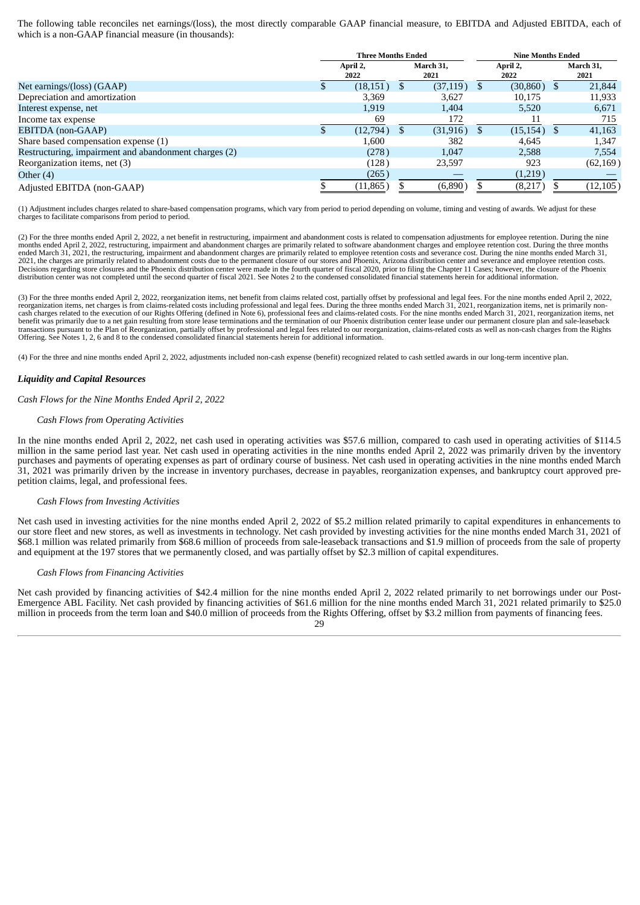The following table reconciles net earnings/(loss), the most directly comparable GAAP financial measure, to EBITDA and Adjusted EBITDA, each of which is a non-GAAP financial measure (in thousands):

|                                                       | <b>Three Months Ended</b> |          |                   | <b>Nine Months Ended</b> |                  |     |                   |
|-------------------------------------------------------|---------------------------|----------|-------------------|--------------------------|------------------|-----|-------------------|
|                                                       | April 2,<br>2022          |          | March 31.<br>2021 |                          | April 2,<br>2022 |     | March 31,<br>2021 |
| Net earnings/(loss) (GAAP)                            | (18, 151)                 |          | (37, 119)         |                          | $(30,860)$ \$    |     | 21,844            |
| Depreciation and amortization                         | 3,369                     |          | 3,627             |                          | 10,175           |     | 11,933            |
| Interest expense, net                                 | 1,919                     |          | 1,404             |                          | 5,520            |     | 6,671             |
| Income tax expense                                    | 69                        |          | 172               |                          | 11               |     | 715               |
| EBITDA (non-GAAP)                                     | (12, 794)                 | <b>S</b> | (31,916)          | Ж                        | (15, 154)        | - S | 41,163            |
| Share based compensation expense (1)                  | 1.600                     |          | 382               |                          | 4,645            |     | 1,347             |
| Restructuring, impairment and abandonment charges (2) | (278)                     |          | 1.047             |                          | 2,588            |     | 7,554             |
| Reorganization items, net (3)                         | (128)                     |          | 23,597            |                          | 923              |     | (62, 169)         |
| Other $(4)$                                           | (265)                     |          |                   |                          | (1,219)          |     |                   |
| Adjusted EBITDA (non-GAAP)                            | (11, 865)                 |          | (6,890)           |                          | (8,217)          |     | (12, 105)         |

(1) Adjustment includes charges related to share-based compensation programs, which vary from period to period depending on volume, timing and vesting of awards. We adjust for these charges to facilitate comparisons from period to period.

(2) For the three months ended April 2, 2022, a net benefit in restructuring, impairment and abandonment costs is related to compensation adjustments for employee retention. During the nine months ended April 2, 2022, restructuring, impairment and abandonment charges are primarily related to software abandonment charges and employee retention cost. During the three months ended March 31, 2021, the restructuring, impairment and abandonment charges are primarily related to employee retention costs and severance cost. During the nine months ended March 31, 2021, the charges are primarily related to abandonment costs due to the permanent closure of our stores and Phoenix, Arizona distribution center and severance and employee retention costs.<br>Decisions regarding store closure distribution center was not completed until the second quarter of fiscal 2021. See Notes 2 to the condensed consolidated financial statements herein for additional information.

(3) For the three months ended April 2, 2022, reorganization items, net benefit from claims related cost, partially offset by professional and legal fees. For the nine months ended April 2, 2022,<br>reorganization items, net cash charges related to the execution of our Rights Offering (defined in Note 6), professional fees and claims-related costs. For the nine months ended March 31, 2021, reorganization items, net benefit was primarily due to a net gain resulting from store lease terminations and the termination of our Phoenix distribution center lease under our permanent closure plan and sale-leaseback<br>transactions pursuant to the Offering. See Notes 1, 2, 6 and 8 to the condensed consolidated financial statements herein for additional information.

(4) For the three and nine months ended April 2, 2022, adjustments included non-cash expense (benefit) recognized related to cash settled awards in our long-term incentive plan.

#### *Liquidity and Capital Resources*

#### *Cash Flows for the Nine Months Ended April 2, 2022*

#### *Cash Flows from Operating Activities*

In the nine months ended April 2, 2022, net cash used in operating activities was \$57.6 million, compared to cash used in operating activities of \$114.5 million in the same period last year. Net cash used in operating activities in the nine months ended April 2, 2022 was primarily driven by the inventory purchases and payments of operating expenses as part of ordinary course of business. Net cash used in operating activities in the nine months ended March 31, 2021 was primarily driven by the increase in inventory purchases, decrease in payables, reorganization expenses, and bankruptcy court approved prepetition claims, legal, and professional fees.

#### *Cash Flows from Investing Activities*

Net cash used in investing activities for the nine months ended April 2, 2022 of \$5.2 million related primarily to capital expenditures in enhancements to our store fleet and new stores, as well as investments in technology. Net cash provided by investing activities for the nine months ended March 31, 2021 of \$68.1 million was related primarily from \$68.6 million of proceeds from sale-leaseback transactions and \$1.9 million of proceeds from the sale of property and equipment at the 197 stores that we permanently closed, and was partially offset by \$2.3 million of capital expenditures.

#### *Cash Flows from Financing Activities*

Net cash provided by financing activities of \$42.4 million for the nine months ended April 2, 2022 related primarily to net borrowings under our Post-Emergence ABL Facility. Net cash provided by financing activities of \$61.6 million for the nine months ended March 31, 2021 related primarily to \$25.0 million in proceeds from the term loan and \$40.0 million of proceeds from the Rights Offering, offset by \$3.2 million from payments of financing fees.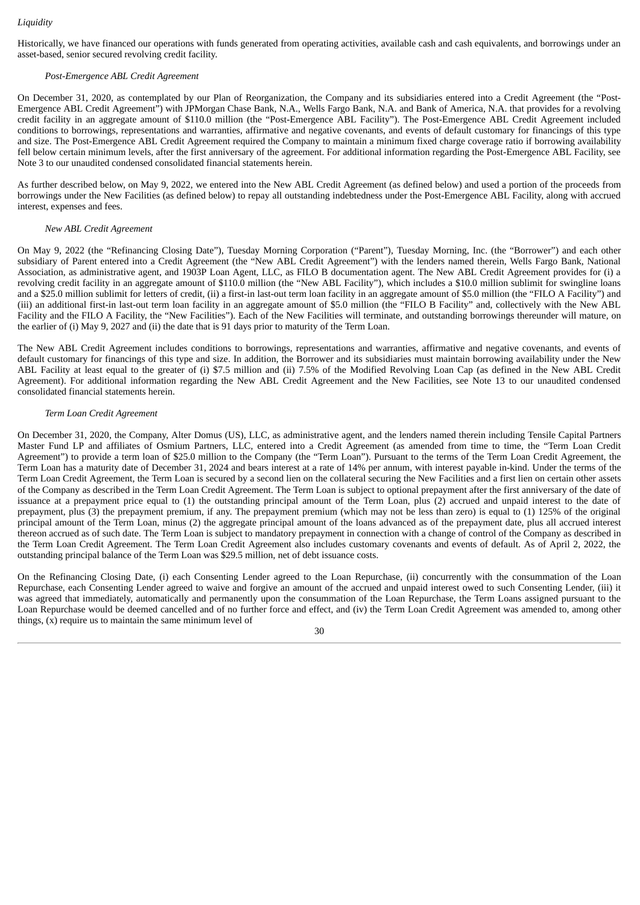Historically, we have financed our operations with funds generated from operating activities, available cash and cash equivalents, and borrowings under an asset-based, senior secured revolving credit facility.

# *Post-Emergence ABL Credit Agreement*

On December 31, 2020, as contemplated by our Plan of Reorganization, the Company and its subsidiaries entered into a Credit Agreement (the "Post-Emergence ABL Credit Agreement") with JPMorgan Chase Bank, N.A., Wells Fargo Bank, N.A. and Bank of America, N.A. that provides for a revolving credit facility in an aggregate amount of \$110.0 million (the "Post-Emergence ABL Facility"). The Post-Emergence ABL Credit Agreement included conditions to borrowings, representations and warranties, affirmative and negative covenants, and events of default customary for financings of this type and size. The Post-Emergence ABL Credit Agreement required the Company to maintain a minimum fixed charge coverage ratio if borrowing availability fell below certain minimum levels, after the first anniversary of the agreement. For additional information regarding the Post-Emergence ABL Facility, see Note 3 to our unaudited condensed consolidated financial statements herein.

As further described below, on May 9, 2022, we entered into the New ABL Credit Agreement (as defined below) and used a portion of the proceeds from borrowings under the New Facilities (as defined below) to repay all outstanding indebtedness under the Post-Emergence ABL Facility, along with accrued interest, expenses and fees.

# *New ABL Credit Agreement*

On May 9, 2022 (the "Refinancing Closing Date"), Tuesday Morning Corporation ("Parent"), Tuesday Morning, Inc. (the "Borrower") and each other subsidiary of Parent entered into a Credit Agreement (the "New ABL Credit Agreement") with the lenders named therein, Wells Fargo Bank, National Association, as administrative agent, and 1903P Loan Agent, LLC, as FILO B documentation agent. The New ABL Credit Agreement provides for (i) a revolving credit facility in an aggregate amount of \$110.0 million (the "New ABL Facility"), which includes a \$10.0 million sublimit for swingline loans and a \$25.0 million sublimit for letters of credit, (ii) a first-in last-out term loan facility in an aggregate amount of \$5.0 million (the "FILO A Facility") and (iii) an additional first-in last-out term loan facility in an aggregate amount of \$5.0 million (the "FILO B Facility" and, collectively with the New ABL Facility and the FILO A Facility, the "New Facilities"). Each of the New Facilities will terminate, and outstanding borrowings thereunder will mature, on the earlier of (i) May 9, 2027 and (ii) the date that is 91 days prior to maturity of the Term Loan.

The New ABL Credit Agreement includes conditions to borrowings, representations and warranties, affirmative and negative covenants, and events of default customary for financings of this type and size. In addition, the Borrower and its subsidiaries must maintain borrowing availability under the New ABL Facility at least equal to the greater of (i) \$7.5 million and (ii) 7.5% of the Modified Revolving Loan Cap (as defined in the New ABL Credit Agreement). For additional information regarding the New ABL Credit Agreement and the New Facilities, see Note 13 to our unaudited condensed consolidated financial statements herein.

#### *Term Loan Credit Agreement*

On December 31, 2020, the Company, Alter Domus (US), LLC, as administrative agent, and the lenders named therein including Tensile Capital Partners Master Fund LP and affiliates of Osmium Partners, LLC, entered into a Credit Agreement (as amended from time to time, the "Term Loan Credit Agreement") to provide a term loan of \$25.0 million to the Company (the "Term Loan"). Pursuant to the terms of the Term Loan Credit Agreement, the Term Loan has a maturity date of December 31, 2024 and bears interest at a rate of 14% per annum, with interest payable in-kind. Under the terms of the Term Loan Credit Agreement, the Term Loan is secured by a second lien on the collateral securing the New Facilities and a first lien on certain other assets of the Company as described in the Term Loan Credit Agreement. The Term Loan is subject to optional prepayment after the first anniversary of the date of issuance at a prepayment price equal to (1) the outstanding principal amount of the Term Loan, plus (2) accrued and unpaid interest to the date of prepayment, plus (3) the prepayment premium, if any. The prepayment premium (which may not be less than zero) is equal to (1) 125% of the original principal amount of the Term Loan, minus (2) the aggregate principal amount of the loans advanced as of the prepayment date, plus all accrued interest thereon accrued as of such date. The Term Loan is subject to mandatory prepayment in connection with a change of control of the Company as described in the Term Loan Credit Agreement. The Term Loan Credit Agreement also includes customary covenants and events of default. As of April 2, 2022, the outstanding principal balance of the Term Loan was \$29.5 million, net of debt issuance costs.

On the Refinancing Closing Date, (i) each Consenting Lender agreed to the Loan Repurchase, (ii) concurrently with the consummation of the Loan Repurchase, each Consenting Lender agreed to waive and forgive an amount of the accrued and unpaid interest owed to such Consenting Lender, (iii) it was agreed that immediately, automatically and permanently upon the consummation of the Loan Repurchase, the Term Loans assigned pursuant to the Loan Repurchase would be deemed cancelled and of no further force and effect, and (iv) the Term Loan Credit Agreement was amended to, among other things, (x) require us to maintain the same minimum level of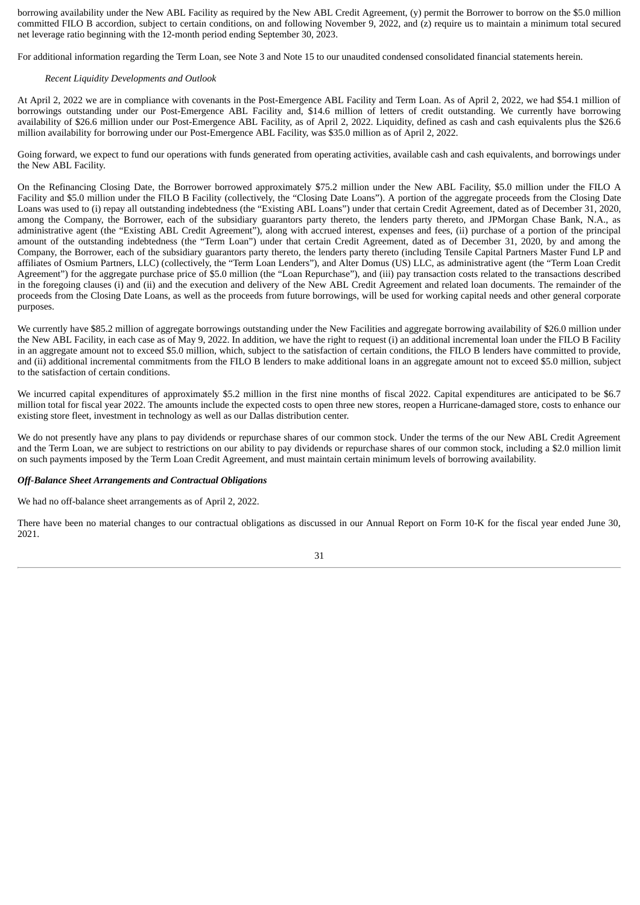borrowing availability under the New ABL Facility as required by the New ABL Credit Agreement, (y) permit the Borrower to borrow on the \$5.0 million committed FILO B accordion, subject to certain conditions, on and following November 9, 2022, and (z) require us to maintain a minimum total secured net leverage ratio beginning with the 12-month period ending September 30, 2023.

For additional information regarding the Term Loan, see Note 3 and Note 15 to our unaudited condensed consolidated financial statements herein.

#### *Recent Liquidity Developments and Outlook*

At April 2, 2022 we are in compliance with covenants in the Post-Emergence ABL Facility and Term Loan. As of April 2, 2022, we had \$54.1 million of borrowings outstanding under our Post-Emergence ABL Facility and, \$14.6 million of letters of credit outstanding. We currently have borrowing availability of \$26.6 million under our Post-Emergence ABL Facility, as of April 2, 2022. Liquidity, defined as cash and cash equivalents plus the \$26.6 million availability for borrowing under our Post-Emergence ABL Facility, was \$35.0 million as of April 2, 2022.

Going forward, we expect to fund our operations with funds generated from operating activities, available cash and cash equivalents, and borrowings under the New ABL Facility.

On the Refinancing Closing Date, the Borrower borrowed approximately \$75.2 million under the New ABL Facility, \$5.0 million under the FILO A Facility and \$5.0 million under the FILO B Facility (collectively, the "Closing Date Loans"). A portion of the aggregate proceeds from the Closing Date Loans was used to (i) repay all outstanding indebtedness (the "Existing ABL Loans") under that certain Credit Agreement, dated as of December 31, 2020, among the Company, the Borrower, each of the subsidiary guarantors party thereto, the lenders party thereto, and JPMorgan Chase Bank, N.A., as administrative agent (the "Existing ABL Credit Agreement"), along with accrued interest, expenses and fees, (ii) purchase of a portion of the principal amount of the outstanding indebtedness (the "Term Loan") under that certain Credit Agreement, dated as of December 31, 2020, by and among the Company, the Borrower, each of the subsidiary guarantors party thereto, the lenders party thereto (including Tensile Capital Partners Master Fund LP and affiliates of Osmium Partners, LLC) (collectively, the "Term Loan Lenders"), and Alter Domus (US) LLC, as administrative agent (the "Term Loan Credit Agreement") for the aggregate purchase price of \$5.0 million (the "Loan Repurchase"), and (iii) pay transaction costs related to the transactions described in the foregoing clauses (i) and (ii) and the execution and delivery of the New ABL Credit Agreement and related loan documents. The remainder of the proceeds from the Closing Date Loans, as well as the proceeds from future borrowings, will be used for working capital needs and other general corporate purposes.

We currently have \$85.2 million of aggregate borrowings outstanding under the New Facilities and aggregate borrowing availability of \$26.0 million under the New ABL Facility, in each case as of May 9, 2022. In addition, we have the right to request (i) an additional incremental loan under the FILO B Facility in an aggregate amount not to exceed \$5.0 million, which, subject to the satisfaction of certain conditions, the FILO B lenders have committed to provide, and (ii) additional incremental commitments from the FILO B lenders to make additional loans in an aggregate amount not to exceed \$5.0 million, subject to the satisfaction of certain conditions.

We incurred capital expenditures of approximately \$5.2 million in the first nine months of fiscal 2022. Capital expenditures are anticipated to be \$6.7 million total for fiscal year 2022. The amounts include the expected costs to open three new stores, reopen a Hurricane-damaged store, costs to enhance our existing store fleet, investment in technology as well as our Dallas distribution center.

We do not presently have any plans to pay dividends or repurchase shares of our common stock. Under the terms of the our New ABL Credit Agreement and the Term Loan, we are subject to restrictions on our ability to pay dividends or repurchase shares of our common stock, including a \$2.0 million limit on such payments imposed by the Term Loan Credit Agreement, and must maintain certain minimum levels of borrowing availability.

#### *Off-Balance Sheet Arrangements and Contractual Obligations*

We had no off-balance sheet arrangements as of April 2, 2022.

There have been no material changes to our contractual obligations as discussed in our Annual Report on Form 10-K for the fiscal year ended June 30, 2021.

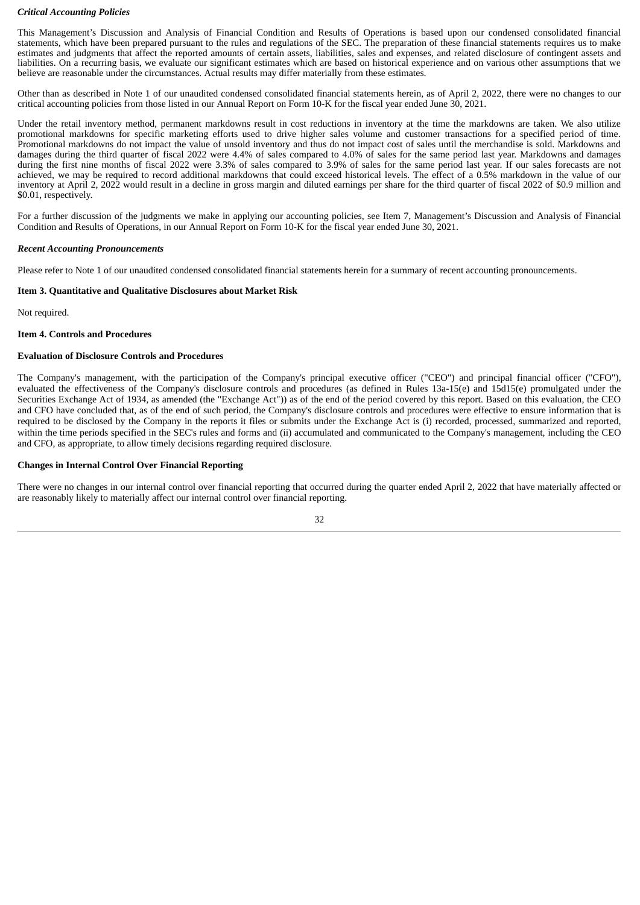#### *Critical Accounting Policies*

This Management's Discussion and Analysis of Financial Condition and Results of Operations is based upon our condensed consolidated financial statements, which have been prepared pursuant to the rules and regulations of the SEC. The preparation of these financial statements requires us to make estimates and judgments that affect the reported amounts of certain assets, liabilities, sales and expenses, and related disclosure of contingent assets and liabilities. On a recurring basis, we evaluate our significant estimates which are based on historical experience and on various other assumptions that we believe are reasonable under the circumstances. Actual results may differ materially from these estimates.

Other than as described in Note 1 of our unaudited condensed consolidated financial statements herein, as of April 2, 2022, there were no changes to our critical accounting policies from those listed in our Annual Report on Form 10-K for the fiscal year ended June 30, 2021.

Under the retail inventory method, permanent markdowns result in cost reductions in inventory at the time the markdowns are taken. We also utilize promotional markdowns for specific marketing efforts used to drive higher sales volume and customer transactions for a specified period of time. Promotional markdowns do not impact the value of unsold inventory and thus do not impact cost of sales until the merchandise is sold. Markdowns and damages during the third quarter of fiscal 2022 were 4.4% of sales compared to 4.0% of sales for the same period last year. Markdowns and damages during the first nine months of fiscal 2022 were 3.3% of sales compared to 3.9% of sales for the same period last year. If our sales forecasts are not achieved, we may be required to record additional markdowns that could exceed historical levels. The effect of a 0.5% markdown in the value of our inventory at April 2, 2022 would result in a decline in gross margin and diluted earnings per share for the third quarter of fiscal 2022 of \$0.9 million and \$0.01, respectively.

For a further discussion of the judgments we make in applying our accounting policies, see Item 7, Management's Discussion and Analysis of Financial Condition and Results of Operations, in our Annual Report on Form 10-K for the fiscal year ended June 30, 2021.

#### *Recent Accounting Pronouncements*

Please refer to Note 1 of our unaudited condensed consolidated financial statements herein for a summary of recent accounting pronouncements.

### <span id="page-31-0"></span>**Item 3. Quantitative and Qualitative Disclosures about Market Risk**

Not required.

# <span id="page-31-1"></span>**Item 4. Controls and Procedures**

### **Evaluation of Disclosure Controls and Procedures**

The Company's management, with the participation of the Company's principal executive officer ("CEO") and principal financial officer ("CFO"), evaluated the effectiveness of the Company's disclosure controls and procedures (as defined in Rules 13a-15(e) and 15d15(e) promulgated under the Securities Exchange Act of 1934, as amended (the "Exchange Act")) as of the end of the period covered by this report. Based on this evaluation, the CEO and CFO have concluded that, as of the end of such period, the Company's disclosure controls and procedures were effective to ensure information that is required to be disclosed by the Company in the reports it files or submits under the Exchange Act is (i) recorded, processed, summarized and reported, within the time periods specified in the SEC's rules and forms and (ii) accumulated and communicated to the Company's management, including the CEO and CFO, as appropriate, to allow timely decisions regarding required disclosure.

#### **Changes in Internal Control Over Financial Reporting**

There were no changes in our internal control over financial reporting that occurred during the quarter ended April 2, 2022 that have materially affected or are reasonably likely to materially affect our internal control over financial reporting.

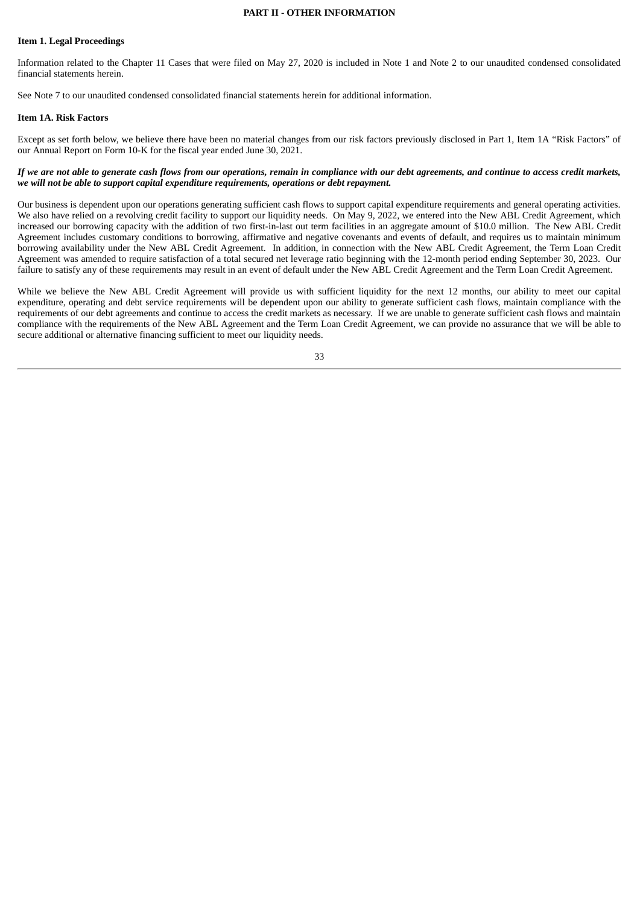# **PART II - OTHER INFORMATION**

#### <span id="page-32-1"></span><span id="page-32-0"></span>**Item 1. Legal Proceedings**

Information related to the Chapter 11 Cases that were filed on May 27, 2020 is included in Note 1 and Note 2 to our unaudited condensed consolidated financial statements herein.

See Note 7 to our unaudited condensed consolidated financial statements herein for additional information.

#### <span id="page-32-2"></span>**Item 1A. Risk Factors**

Except as set forth below, we believe there have been no material changes from our risk factors previously disclosed in Part 1, Item 1A "Risk Factors" of our Annual Report on Form 10-K for the fiscal year ended June 30, 2021.

#### If we are not able to generate cash flows from our operations, remain in compliance with our debt agreements, and continue to access credit markets, *we will not be able to support capital expenditure requirements, operations or debt repayment.*

Our business is dependent upon our operations generating sufficient cash flows to support capital expenditure requirements and general operating activities. We also have relied on a revolving credit facility to support our liquidity needs. On May 9, 2022, we entered into the New ABL Credit Agreement, which increased our borrowing capacity with the addition of two first-in-last out term facilities in an aggregate amount of \$10.0 million. The New ABL Credit Agreement includes customary conditions to borrowing, affirmative and negative covenants and events of default, and requires us to maintain minimum borrowing availability under the New ABL Credit Agreement. In addition, in connection with the New ABL Credit Agreement, the Term Loan Credit Agreement was amended to require satisfaction of a total secured net leverage ratio beginning with the 12-month period ending September 30, 2023. Our failure to satisfy any of these requirements may result in an event of default under the New ABL Credit Agreement and the Term Loan Credit Agreement.

While we believe the New ABL Credit Agreement will provide us with sufficient liquidity for the next 12 months, our ability to meet our capital expenditure, operating and debt service requirements will be dependent upon our ability to generate sufficient cash flows, maintain compliance with the requirements of our debt agreements and continue to access the credit markets as necessary. If we are unable to generate sufficient cash flows and maintain compliance with the requirements of the New ABL Agreement and the Term Loan Credit Agreement, we can provide no assurance that we will be able to secure additional or alternative financing sufficient to meet our liquidity needs.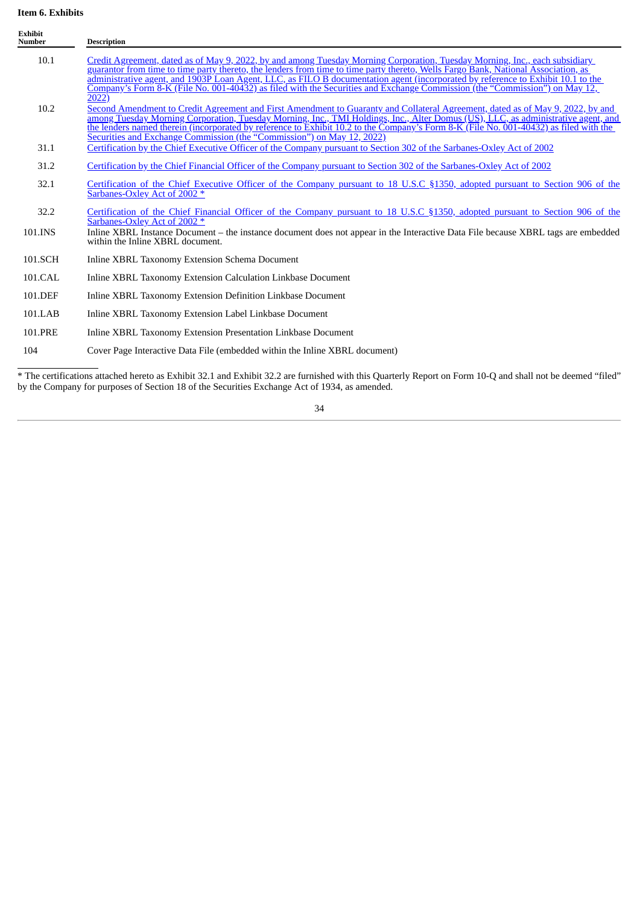# <span id="page-33-0"></span>**Item 6. Exhibits**

| <b>Exhibit</b><br><b>Number</b> | <b>Description</b>                                                                                                                                                                                                                                                                                                                                                                                                                                                                                                                           |
|---------------------------------|----------------------------------------------------------------------------------------------------------------------------------------------------------------------------------------------------------------------------------------------------------------------------------------------------------------------------------------------------------------------------------------------------------------------------------------------------------------------------------------------------------------------------------------------|
| 10.1                            | Credit Agreement, dated as of May 9, 2022, by and among Tuesday Morning Corporation, Tuesday Morning, Inc., each subsidiary<br>guarantor from time to time party thereto, the lenders from time to time party thereto, Wells Fargo Bank, National Association, as<br>administrative agent, and 1903P Loan Agent, LLC, as FILO B documentation agent (incorporated by reference to Exhibit 10.1 to the<br>Company's Form 8-K (File No. 001-40432) as filed with the Securities and Exchange Commission (the "Commission") on May 12,<br>2022) |
| 10.2                            | Second Amendment to Credit Agreement and First Amendment to Guaranty and Collateral Agreement, dated as of May 9, 2022, by and<br>among Tuesday Morning Corporation, Tuesday Morning, Inc., TMI Holdings, Inc., Alter Domus (US), LLC, as administrative agent, and<br>the lenders named therein (incorporated by reference to Exhibit 10.2 to the Company's Form 8-K (File No. 001-40432) as filed with the<br>Securities and Exchange Commission (the "Commission") on May 12, 2022)                                                       |
| 31.1                            | Certification by the Chief Executive Officer of the Company pursuant to Section 302 of the Sarbanes-Oxley Act of 2002                                                                                                                                                                                                                                                                                                                                                                                                                        |
| 31.2                            | Certification by the Chief Financial Officer of the Company pursuant to Section 302 of the Sarbanes-Oxley Act of 2002                                                                                                                                                                                                                                                                                                                                                                                                                        |
| 32.1                            | Certification of the Chief Executive Officer of the Company pursuant to 18 U.S.C §1350, adopted pursuant to Section 906 of the<br>Sarbanes-Oxley Act of 2002 *                                                                                                                                                                                                                                                                                                                                                                               |
| 32.2                            | Certification of the Chief Financial Officer of the Company pursuant to 18 U.S.C §1350, adopted pursuant to Section 906 of the<br>Sarbanes-Oxley Act of 2002 *                                                                                                                                                                                                                                                                                                                                                                               |
| 101.INS                         | Inline XBRL Instance Document – the instance document does not appear in the Interactive Data File because XBRL tags are embedded<br>within the Inline XBRL document.                                                                                                                                                                                                                                                                                                                                                                        |
| 101.SCH                         | Inline XBRL Taxonomy Extension Schema Document                                                                                                                                                                                                                                                                                                                                                                                                                                                                                               |
| 101.CAL                         | Inline XBRL Taxonomy Extension Calculation Linkbase Document                                                                                                                                                                                                                                                                                                                                                                                                                                                                                 |
| 101.DEF                         | Inline XBRL Taxonomy Extension Definition Linkbase Document                                                                                                                                                                                                                                                                                                                                                                                                                                                                                  |
| 101.LAB                         | Inline XBRL Taxonomy Extension Label Linkbase Document                                                                                                                                                                                                                                                                                                                                                                                                                                                                                       |
| 101.PRE                         | Inline XBRL Taxonomy Extension Presentation Linkbase Document                                                                                                                                                                                                                                                                                                                                                                                                                                                                                |
| 104                             | Cover Page Interactive Data File (embedded within the Inline XBRL document)<br>$-1.1.0$ $-1.0.1$ $-1.0.1$ $-0.0.0$                                                                                                                                                                                                                                                                                                                                                                                                                           |

\* The certifications attached hereto as Exhibit 32.1 and Exhibit 32.2 are furnished with this Quarterly Report on Form 10-Q and shall not be deemed "filed" by the Company for purposes of Section 18 of the Securities Exchange Act of 1934, as amended.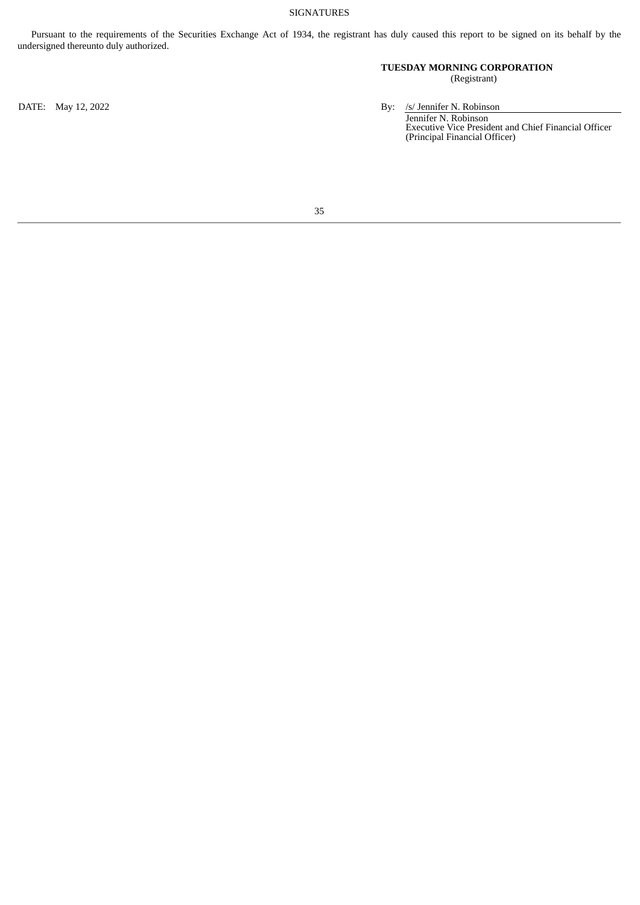<span id="page-34-0"></span>Pursuant to the requirements of the Securities Exchange Act of 1934, the registrant has duly caused this report to be signed on its behalf by the undersigned thereunto duly authorized.

# **TUESDAY MORNING CORPORATION** (Registrant)

DATE: May 12, 2022 By: /s/ Jennifer N. Robinson

Jennifer N. Robinson Executive Vice President and Chief Financial Officer (Principal Financial Officer)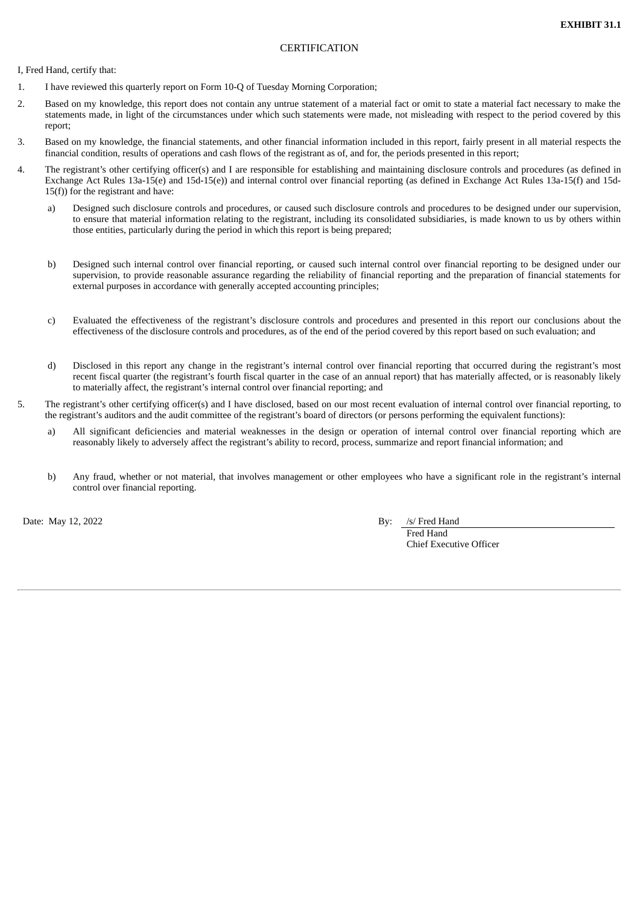# **CERTIFICATION**

<span id="page-35-0"></span>I, Fred Hand, certify that:

- 1. I have reviewed this quarterly report on Form 10-Q of Tuesday Morning Corporation;
- 2. Based on my knowledge, this report does not contain any untrue statement of a material fact or omit to state a material fact necessary to make the statements made, in light of the circumstances under which such statements were made, not misleading with respect to the period covered by this report;
- 3. Based on my knowledge, the financial statements, and other financial information included in this report, fairly present in all material respects the financial condition, results of operations and cash flows of the registrant as of, and for, the periods presented in this report;
- 4. The registrant's other certifying officer(s) and I are responsible for establishing and maintaining disclosure controls and procedures (as defined in Exchange Act Rules 13a-15(e) and 15d-15(e)) and internal control over financial reporting (as defined in Exchange Act Rules 13a-15(f) and 15d-15(f)) for the registrant and have:
	- a) Designed such disclosure controls and procedures, or caused such disclosure controls and procedures to be designed under our supervision, to ensure that material information relating to the registrant, including its consolidated subsidiaries, is made known to us by others within those entities, particularly during the period in which this report is being prepared;
	- b) Designed such internal control over financial reporting, or caused such internal control over financial reporting to be designed under our supervision, to provide reasonable assurance regarding the reliability of financial reporting and the preparation of financial statements for external purposes in accordance with generally accepted accounting principles;
	- c) Evaluated the effectiveness of the registrant's disclosure controls and procedures and presented in this report our conclusions about the effectiveness of the disclosure controls and procedures, as of the end of the period covered by this report based on such evaluation; and
	- d) Disclosed in this report any change in the registrant's internal control over financial reporting that occurred during the registrant's most recent fiscal quarter (the registrant's fourth fiscal quarter in the case of an annual report) that has materially affected, or is reasonably likely to materially affect, the registrant's internal control over financial reporting; and
- 5. The registrant's other certifying officer(s) and I have disclosed, based on our most recent evaluation of internal control over financial reporting, to the registrant's auditors and the audit committee of the registrant's board of directors (or persons performing the equivalent functions):
	- a) All significant deficiencies and material weaknesses in the design or operation of internal control over financial reporting which are reasonably likely to adversely affect the registrant's ability to record, process, summarize and report financial information; and
	- b) Any fraud, whether or not material, that involves management or other employees who have a significant role in the registrant's internal control over financial reporting.

Date: May 12, 2022 By: /s/ Fred Hand

Fred Hand Chief Executive Officer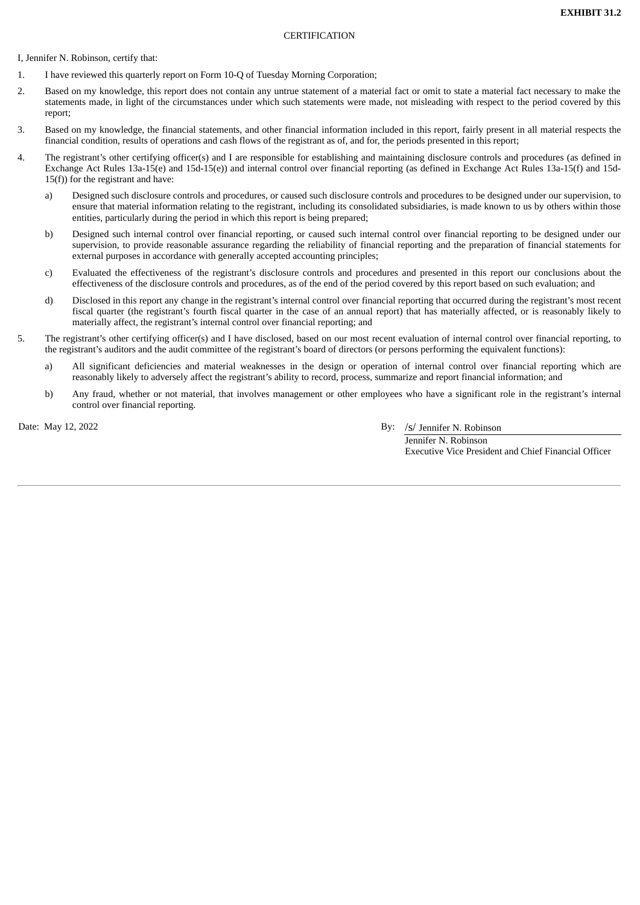#### **CERTIFICATION**

<span id="page-36-0"></span>I, Jennifer N. Robinson, certify that:

- 1. I have reviewed this quarterly report on Form 10-Q of Tuesday Morning Corporation;
- 2. Based on my knowledge, this report does not contain any untrue statement of a material fact or omit to state a material fact necessary to make the statements made, in light of the circumstances under which such statements were made, not misleading with respect to the period covered by this report;
- 3. Based on my knowledge, the financial statements, and other financial information included in this report, fairly present in all material respects the financial condition, results of operations and cash flows of the registrant as of, and for, the periods presented in this report;
- 4. The registrant's other certifying officer(s) and I are responsible for establishing and maintaining disclosure controls and procedures (as defined in Exchange Act Rules 13a-15(e) and 15d-15(e)) and internal control over financial reporting (as defined in Exchange Act Rules 13a-15(f) and 15d- $15(f)$ ) for the registrant and have:
	- a) Designed such disclosure controls and procedures, or caused such disclosure controls and procedures to be designed under our supervision, to ensure that material information relating to the registrant, including its consolidated subsidiaries, is made known to us by others within those entities, particularly during the period in which this report is being prepared;
	- b) Designed such internal control over financial reporting, or caused such internal control over financial reporting to be designed under our supervision, to provide reasonable assurance regarding the reliability of financial reporting and the preparation of financial statements for external purposes in accordance with generally accepted accounting principles;
	- c) Evaluated the effectiveness of the registrant's disclosure controls and procedures and presented in this report our conclusions about the effectiveness of the disclosure controls and procedures, as of the end of the period covered by this report based on such evaluation; and
	- d) Disclosed in this report any change in the registrant's internal control over financial reporting that occurred during the registrant's most recent fiscal quarter (the registrant's fourth fiscal quarter in the case of an annual report) that has materially affected, or is reasonably likely to materially affect, the registrant's internal control over financial reporting; and
- 5. The registrant's other certifying officer(s) and I have disclosed, based on our most recent evaluation of internal control over financial reporting, to the registrant's auditors and the audit committee of the registrant's board of directors (or persons performing the equivalent functions):
	- a) All significant deficiencies and material weaknesses in the design or operation of internal control over financial reporting which are reasonably likely to adversely affect the registrant's ability to record, process, summarize and report financial information; and
	- b) Any fraud, whether or not material, that involves management or other employees who have a significant role in the registrant's internal control over financial reporting.

Date: May 12, 2022 By: /s/ Jennifer N. Robinson Jennifer N. Robinson Executive Vice President and Chief Financial Officer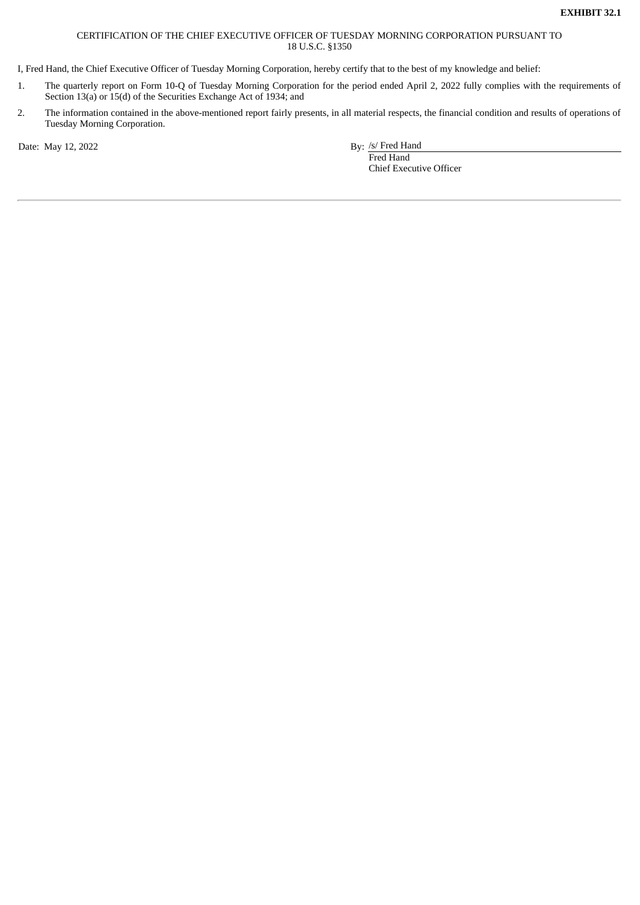# CERTIFICATION OF THE CHIEF EXECUTIVE OFFICER OF TUESDAY MORNING CORPORATION PURSUANT TO 18 U.S.C. §1350

<span id="page-37-0"></span>I, Fred Hand, the Chief Executive Officer of Tuesday Morning Corporation, hereby certify that to the best of my knowledge and belief:

- 1. The quarterly report on Form 10-Q of Tuesday Morning Corporation for the period ended April 2, 2022 fully complies with the requirements of Section 13(a) or 15(d) of the Securities Exchange Act of 1934; and
- 2. The information contained in the above-mentioned report fairly presents, in all material respects, the financial condition and results of operations of Tuesday Morning Corporation.

Date: May 12, 2022 By: /s/ Fred Hand

Fred Hand Chief Executive Officer